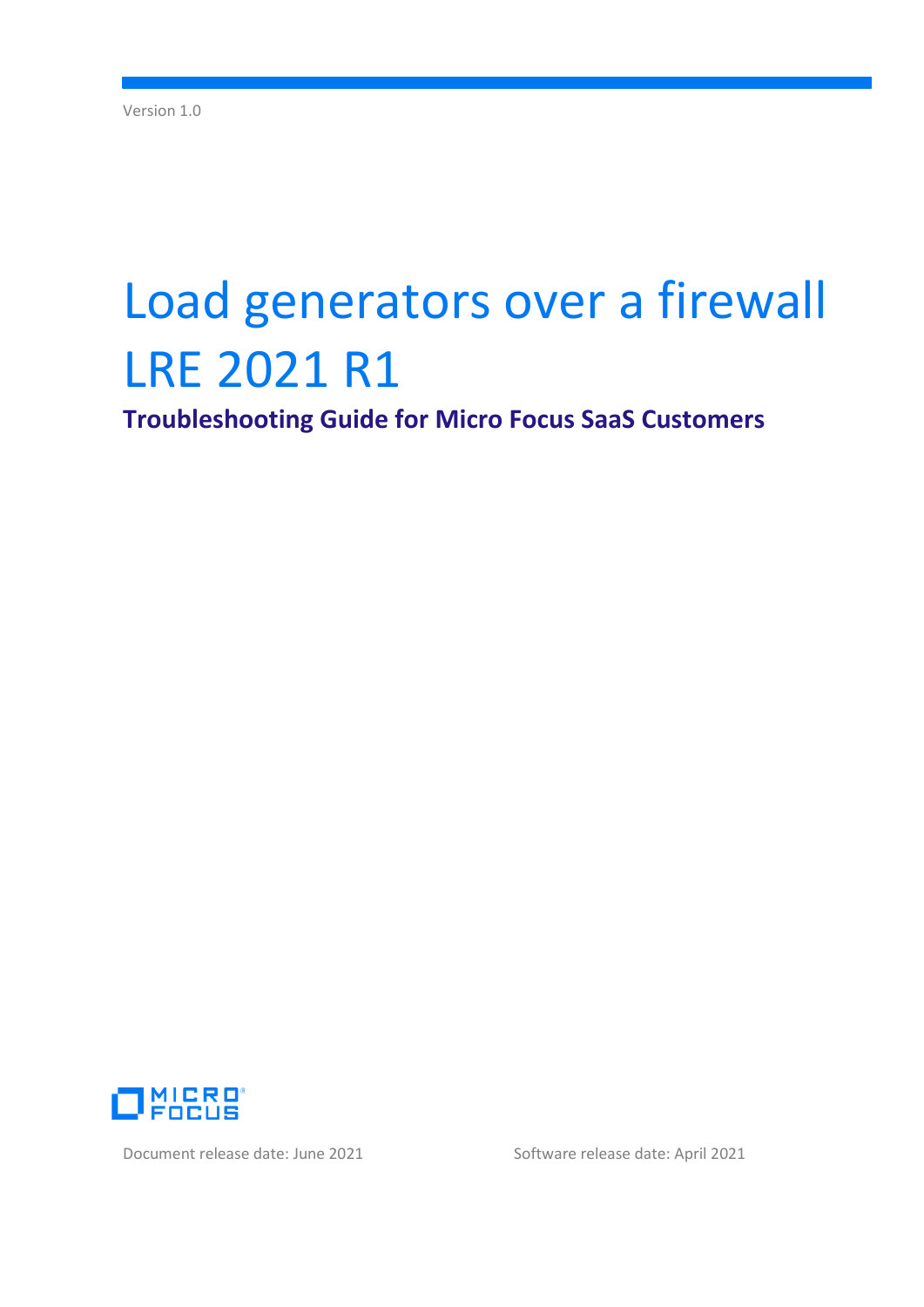# Load generators over a firewall LRE 2021 R1

**Troubleshooting Guide for Micro Focus SaaS Customers**



Document release date: June 2021 Software release date: April 2021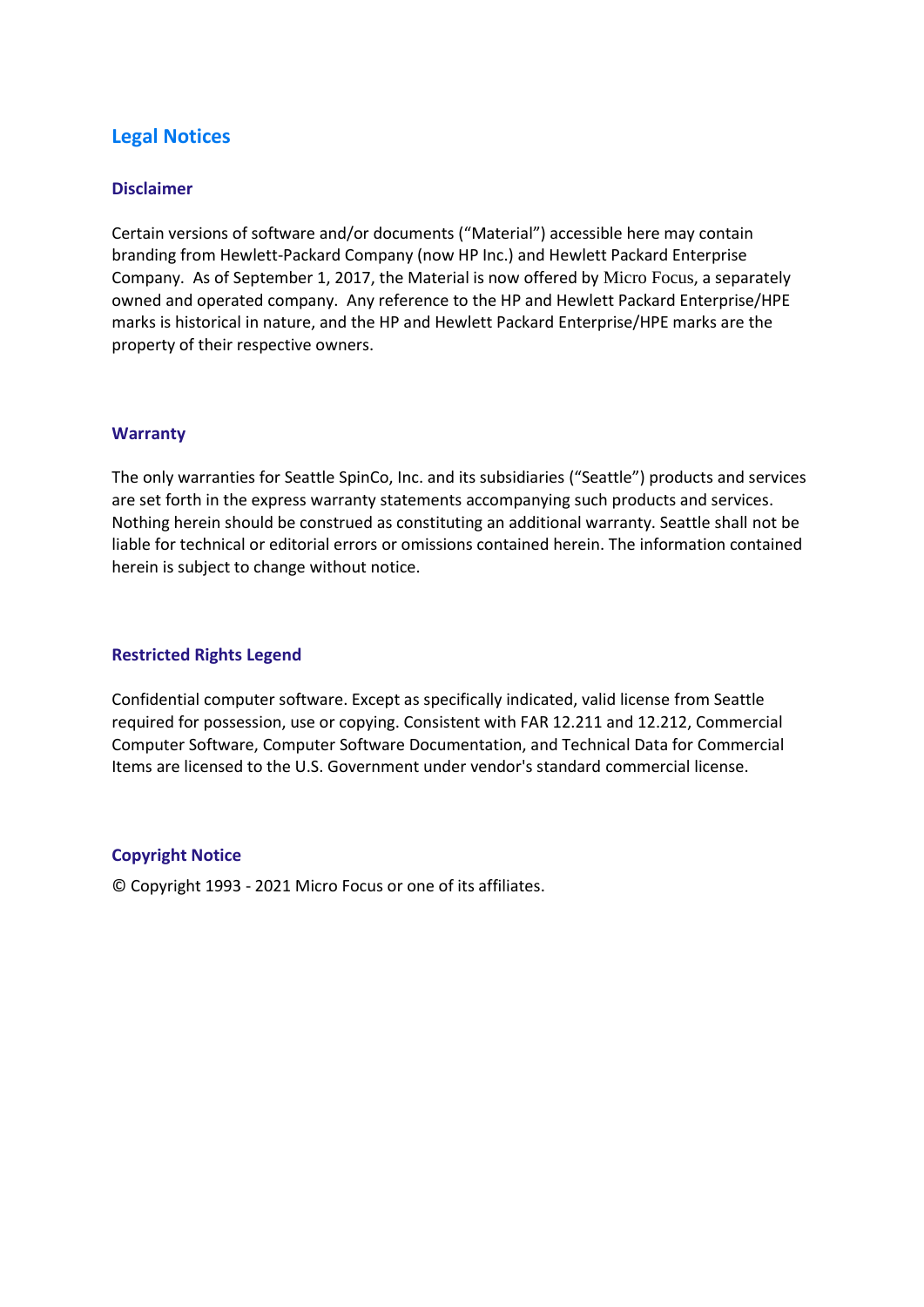# **Legal Notices**

#### **Disclaimer**

Certain versions of software and/or documents ("Material") accessible here may contain branding from Hewlett-Packard Company (now HP Inc.) and Hewlett Packard Enterprise Company. As of September 1, 2017, the Material is now offered by Micro Focus, a separately owned and operated company. Any reference to the HP and Hewlett Packard Enterprise/HPE marks is historical in nature, and the HP and Hewlett Packard Enterprise/HPE marks are the property of their respective owners.

#### **Warranty**

The only warranties for Seattle SpinCo, Inc. and its subsidiaries ("Seattle") products and services are set forth in the express warranty statements accompanying such products and services. Nothing herein should be construed as constituting an additional warranty. Seattle shall not be liable for technical or editorial errors or omissions contained herein. The information contained herein is subject to change without notice.

#### **Restricted Rights Legend**

Confidential computer software. Except as specifically indicated, valid license from Seattle required for possession, use or copying. Consistent with FAR 12.211 and 12.212, Commercial Computer Software, Computer Software Documentation, and Technical Data for Commercial Items are licensed to the U.S. Government under vendor's standard commercial license.

#### **Copyright Notice**

© Copyright 1993 - 2021 Micro Focus or one of its affiliates.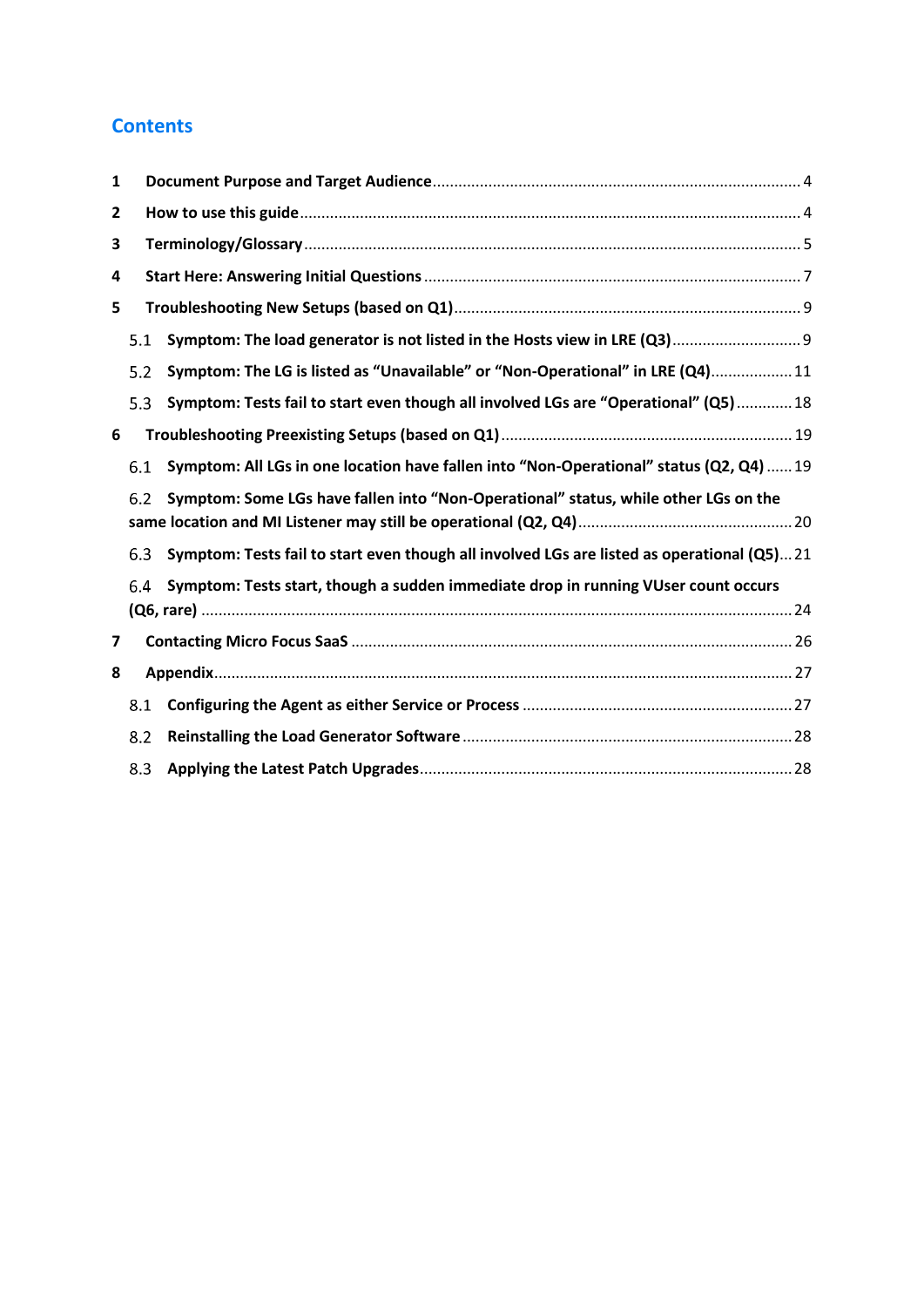# **Contents**

| 1 |     |                                                                                            |  |  |  |  |
|---|-----|--------------------------------------------------------------------------------------------|--|--|--|--|
| 2 |     |                                                                                            |  |  |  |  |
| 3 |     |                                                                                            |  |  |  |  |
| 4 |     |                                                                                            |  |  |  |  |
| 5 |     |                                                                                            |  |  |  |  |
|   | 5.1 | Symptom: The load generator is not listed in the Hosts view in LRE (Q3) 9                  |  |  |  |  |
|   | 5.2 | Symptom: The LG is listed as "Unavailable" or "Non-Operational" in LRE (Q4) 11             |  |  |  |  |
|   | 5.3 | Symptom: Tests fail to start even though all involved LGs are "Operational" (Q5)  18       |  |  |  |  |
| 6 |     |                                                                                            |  |  |  |  |
|   | 6.1 | Symptom: All LGs in one location have fallen into "Non-Operational" status (Q2, Q4)  19    |  |  |  |  |
|   | 6.2 | Symptom: Some LGs have fallen into "Non-Operational" status, while other LGs on the        |  |  |  |  |
|   | 6.3 | Symptom: Tests fail to start even though all involved LGs are listed as operational (Q5)21 |  |  |  |  |
|   | 6.4 | Symptom: Tests start, though a sudden immediate drop in running VUser count occurs         |  |  |  |  |
| 7 |     |                                                                                            |  |  |  |  |
| 8 |     |                                                                                            |  |  |  |  |
|   | 8.1 |                                                                                            |  |  |  |  |
|   | 8.2 |                                                                                            |  |  |  |  |
|   | 8.3 |                                                                                            |  |  |  |  |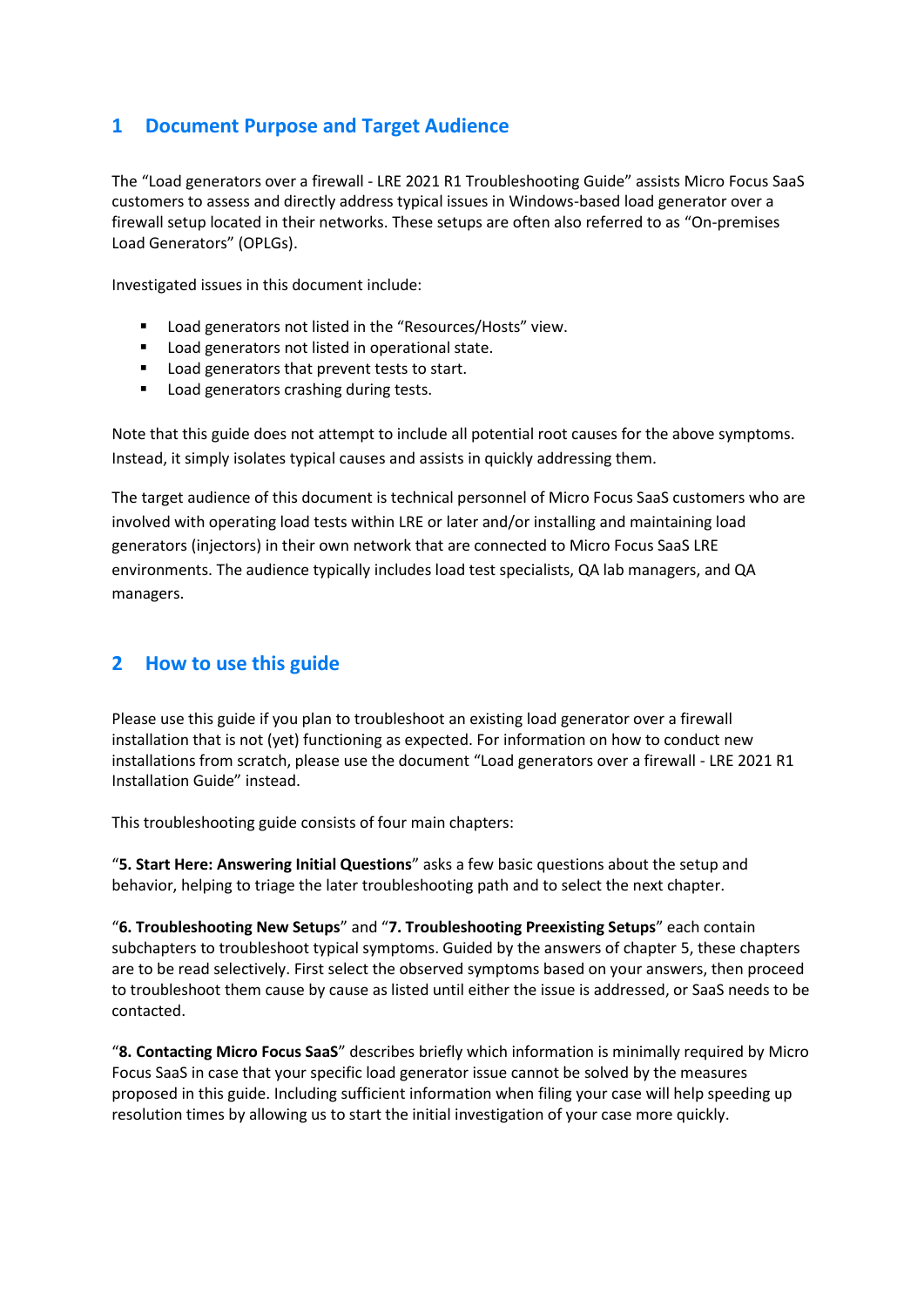# <span id="page-3-0"></span>**1 Document Purpose and Target Audience**

The "Load generators over a firewall - LRE 2021 R1 Troubleshooting Guide" assists Micro Focus SaaS customers to assess and directly address typical issues in Windows-based load generator over a firewall setup located in their networks. These setups are often also referred to as "On-premises Load Generators" (OPLGs).

Investigated issues in this document include:

- Load generators not listed in the "Resources/Hosts" view.
- Load generators not listed in operational state.
- Load generators that prevent tests to start.
- Load generators crashing during tests.

Note that this guide does not attempt to include all potential root causes for the above symptoms. Instead, it simply isolates typical causes and assists in quickly addressing them.

The target audience of this document is technical personnel of Micro Focus SaaS customers who are involved with operating load tests within LRE or later and/or installing and maintaining load generators (injectors) in their own network that are connected to Micro Focus SaaS LRE environments. The audience typically includes load test specialists, QA lab managers, and QA managers.

# <span id="page-3-1"></span>**2 How to use this guide**

Please use this guide if you plan to troubleshoot an existing load generator over a firewall installation that is not (yet) functioning as expected. For information on how to conduct new installations from scratch, please use the document "Load generators over a firewall - LRE 2021 R1 Installation Guide" instead.

This troubleshooting guide consists of four main chapters:

"**5. Start Here: Answering Initial Questions**" asks a few basic questions about the setup and behavior, helping to triage the later troubleshooting path and to select the next chapter.

"**6. Troubleshooting New Setups**" and "**7. Troubleshooting Preexisting Setups**" each contain subchapters to troubleshoot typical symptoms. Guided by the answers of chapter 5, these chapters are to be read selectively. First select the observed symptoms based on your answers, then proceed to troubleshoot them cause by cause as listed until either the issue is addressed, or SaaS needs to be contacted.

"**8. Contacting Micro Focus SaaS**" describes briefly which information is minimally required by Micro Focus SaaS in case that your specific load generator issue cannot be solved by the measures proposed in this guide. Including sufficient information when filing your case will help speeding up resolution times by allowing us to start the initial investigation of your case more quickly.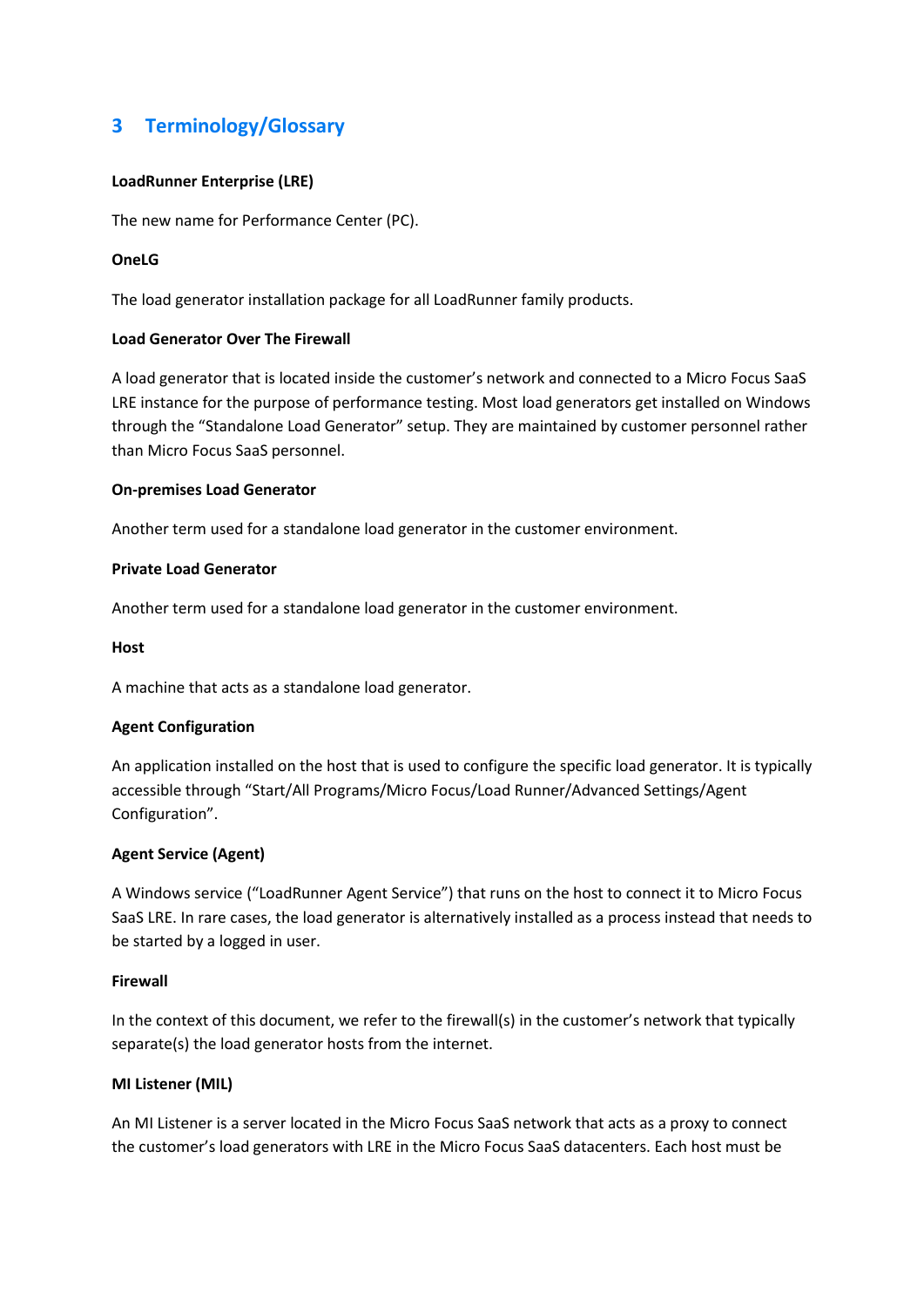# <span id="page-4-0"></span>**3 Terminology/Glossary**

#### **LoadRunner Enterprise (LRE)**

The new name for Performance Center (PC).

#### **OneLG**

The load generator installation package for all LoadRunner family products.

#### **Load Generator Over The Firewall**

A load generator that is located inside the customer's network and connected to a Micro Focus SaaS LRE instance for the purpose of performance testing. Most load generators get installed on Windows through the "Standalone Load Generator" setup. They are maintained by customer personnel rather than Micro Focus SaaS personnel.

#### **On-premises Load Generator**

Another term used for a standalone load generator in the customer environment.

#### **Private Load Generator**

Another term used for a standalone load generator in the customer environment.

#### **Host**

A machine that acts as a standalone load generator.

#### **Agent Configuration**

An application installed on the host that is used to configure the specific load generator. It is typically accessible through "Start/All Programs/Micro Focus/Load Runner/Advanced Settings/Agent Configuration".

#### **Agent Service (Agent)**

A Windows service ("LoadRunner Agent Service") that runs on the host to connect it to Micro Focus SaaS LRE. In rare cases, the load generator is alternatively installed as a process instead that needs to be started by a logged in user.

#### **Firewall**

In the context of this document, we refer to the firewall(s) in the customer's network that typically separate(s) the load generator hosts from the internet.

#### **MI Listener (MIL)**

An MI Listener is a server located in the Micro Focus SaaS network that acts as a proxy to connect the customer's load generators with LRE in the Micro Focus SaaS datacenters. Each host must be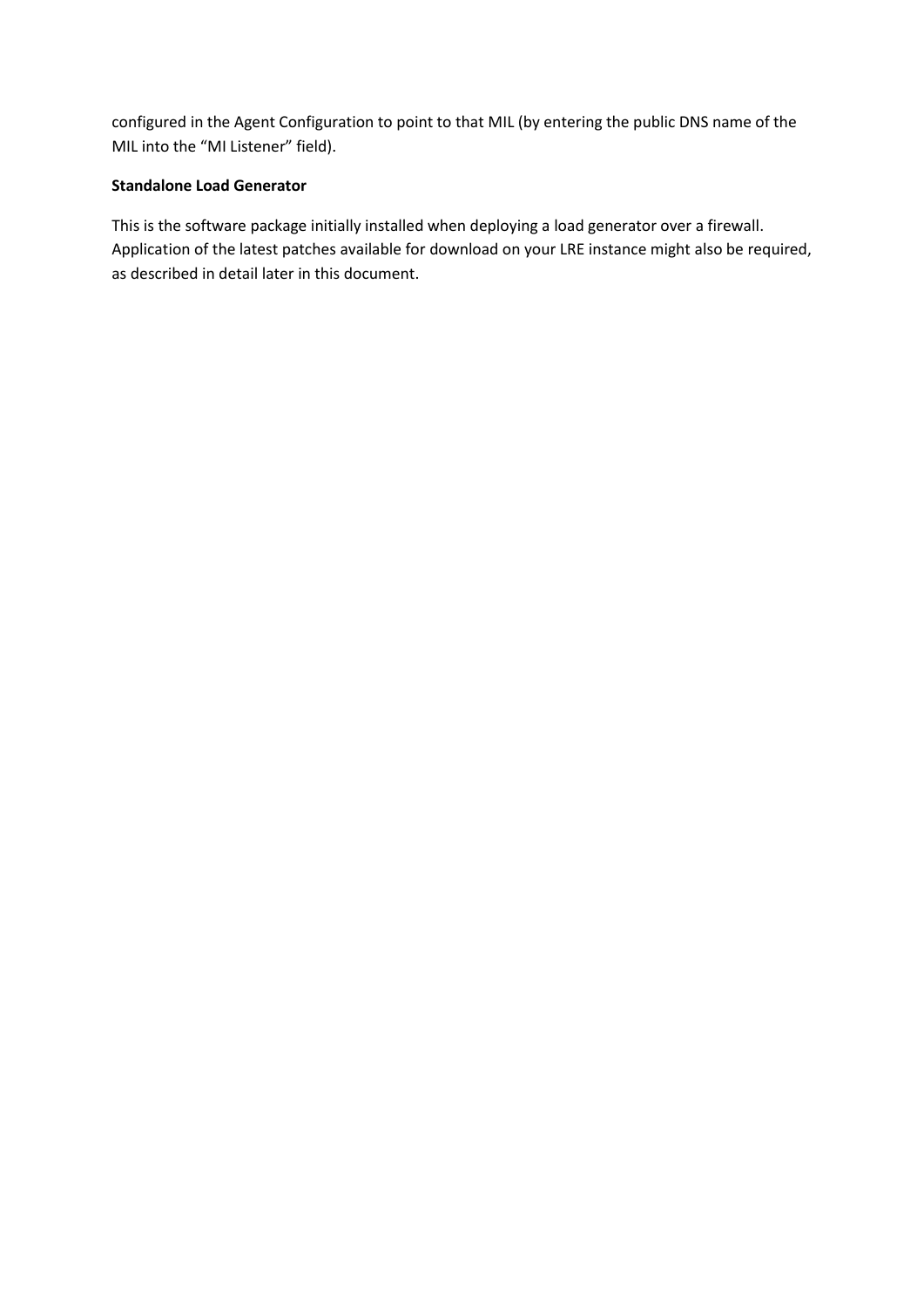configured in the Agent Configuration to point to that MIL (by entering the public DNS name of the MIL into the "MI Listener" field).

#### **Standalone Load Generator**

This is the software package initially installed when deploying a load generator over a firewall. Application of the latest patches available for download on your LRE instance might also be required, as described in detail later in this document.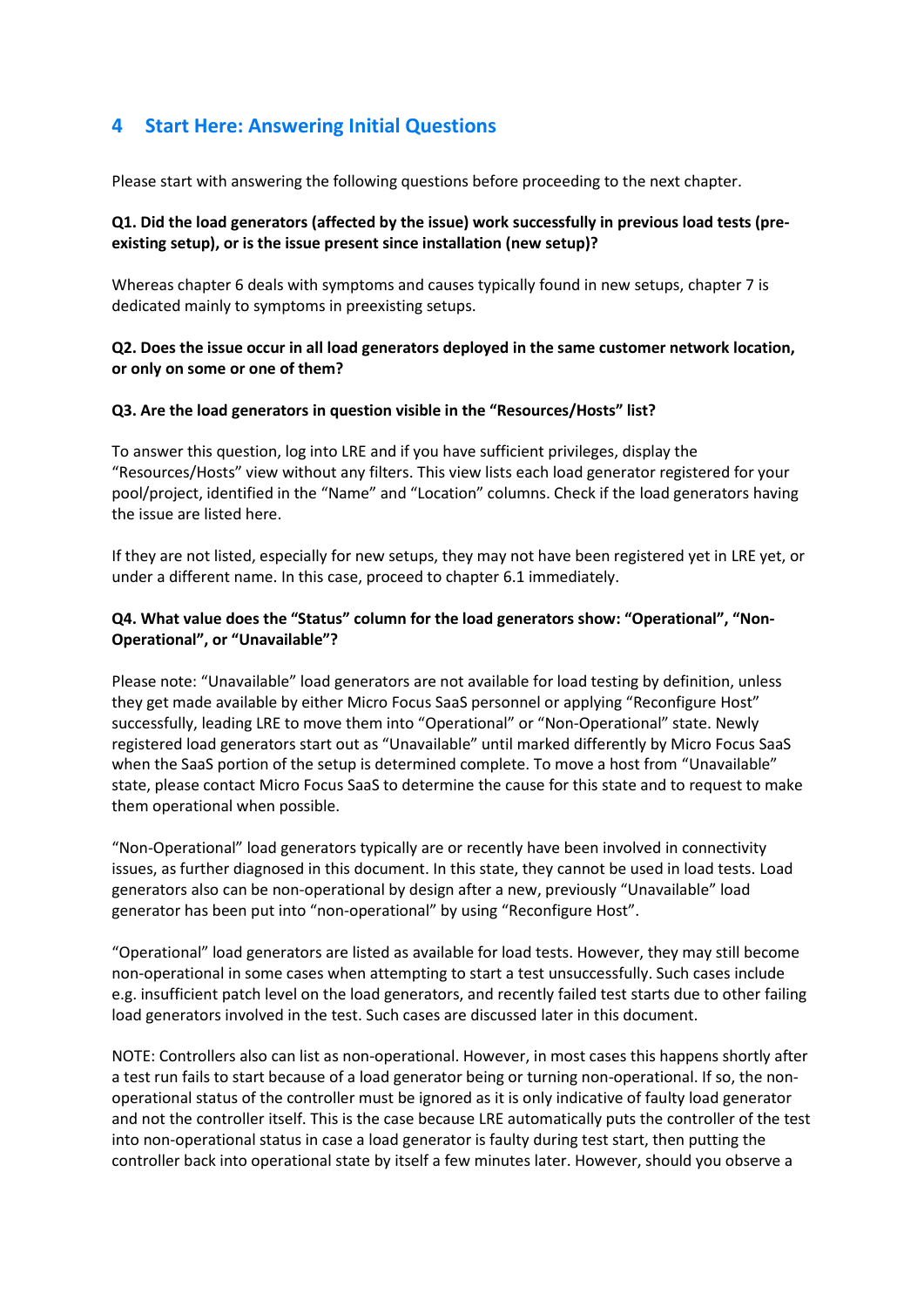# <span id="page-6-0"></span>**4 Start Here: Answering Initial Questions**

Please start with answering the following questions before proceeding to the next chapter.

#### **Q1. Did the load generators (affected by the issue) work successfully in previous load tests (preexisting setup), or is the issue present since installation (new setup)?**

Whereas chapter 6 deals with symptoms and causes typically found in new setups, chapter 7 is dedicated mainly to symptoms in preexisting setups.

#### **Q2. Does the issue occur in all load generators deployed in the same customer network location, or only on some or one of them?**

#### **Q3. Are the load generators in question visible in the "Resources/Hosts" list?**

To answer this question, log into LRE and if you have sufficient privileges, display the "Resources/Hosts" view without any filters. This view lists each load generator registered for your pool/project, identified in the "Name" and "Location" columns. Check if the load generators having the issue are listed here.

If they are not listed, especially for new setups, they may not have been registered yet in LRE yet, or under a different name. In this case, proceed to chapter 6.1 immediately.

#### **Q4. What value does the "Status" column for the load generators show: "Operational", "Non-Operational", or "Unavailable"?**

Please note: "Unavailable" load generators are not available for load testing by definition, unless they get made available by either Micro Focus SaaS personnel or applying "Reconfigure Host" successfully, leading LRE to move them into "Operational" or "Non-Operational" state. Newly registered load generators start out as "Unavailable" until marked differently by Micro Focus SaaS when the SaaS portion of the setup is determined complete. To move a host from "Unavailable" state, please contact Micro Focus SaaS to determine the cause for this state and to request to make them operational when possible.

"Non-Operational" load generators typically are or recently have been involved in connectivity issues, as further diagnosed in this document. In this state, they cannot be used in load tests. Load generators also can be non-operational by design after a new, previously "Unavailable" load generator has been put into "non-operational" by using "Reconfigure Host".

"Operational" load generators are listed as available for load tests. However, they may still become non-operational in some cases when attempting to start a test unsuccessfully. Such cases include e.g. insufficient patch level on the load generators, and recently failed test starts due to other failing load generators involved in the test. Such cases are discussed later in this document.

NOTE: Controllers also can list as non-operational. However, in most cases this happens shortly after a test run fails to start because of a load generator being or turning non-operational. If so, the nonoperational status of the controller must be ignored as it is only indicative of faulty load generator and not the controller itself. This is the case because LRE automatically puts the controller of the test into non-operational status in case a load generator is faulty during test start, then putting the controller back into operational state by itself a few minutes later. However, should you observe a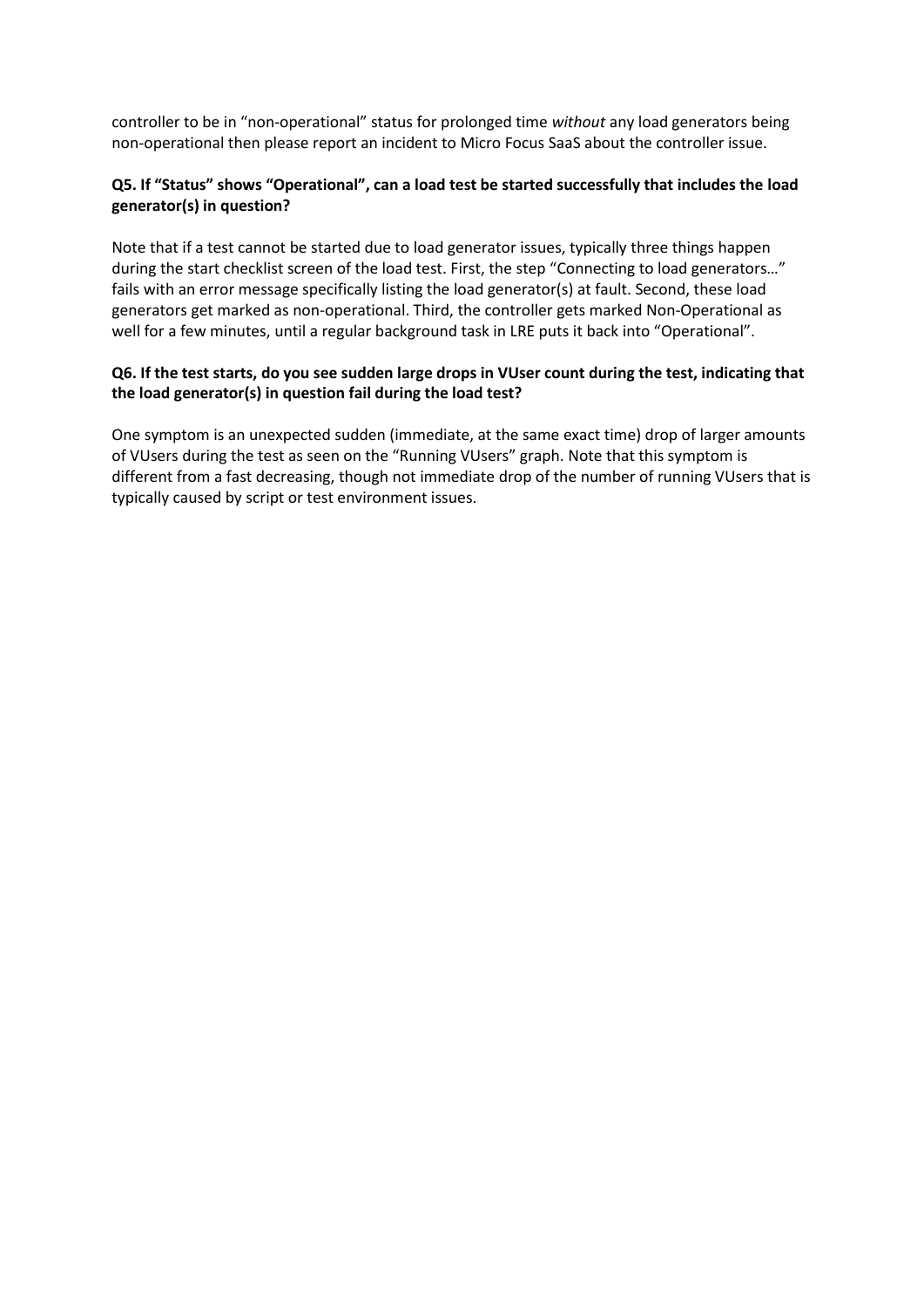controller to be in "non-operational" status for prolonged time *without* any load generators being non-operational then please report an incident to Micro Focus SaaS about the controller issue.

#### **Q5. If "Status" shows "Operational", can a load test be started successfully that includes the load generator(s) in question?**

Note that if a test cannot be started due to load generator issues, typically three things happen during the start checklist screen of the load test. First, the step "Connecting to load generators…" fails with an error message specifically listing the load generator(s) at fault. Second, these load generators get marked as non-operational. Third, the controller gets marked Non-Operational as well for a few minutes, until a regular background task in LRE puts it back into "Operational".

#### **Q6. If the test starts, do you see sudden large drops in VUser count during the test, indicating that the load generator(s) in question fail during the load test?**

One symptom is an unexpected sudden (immediate, at the same exact time) drop of larger amounts of VUsers during the test as seen on the "Running VUsers" graph. Note that this symptom is different from a fast decreasing, though not immediate drop of the number of running VUsers that is typically caused by script or test environment issues.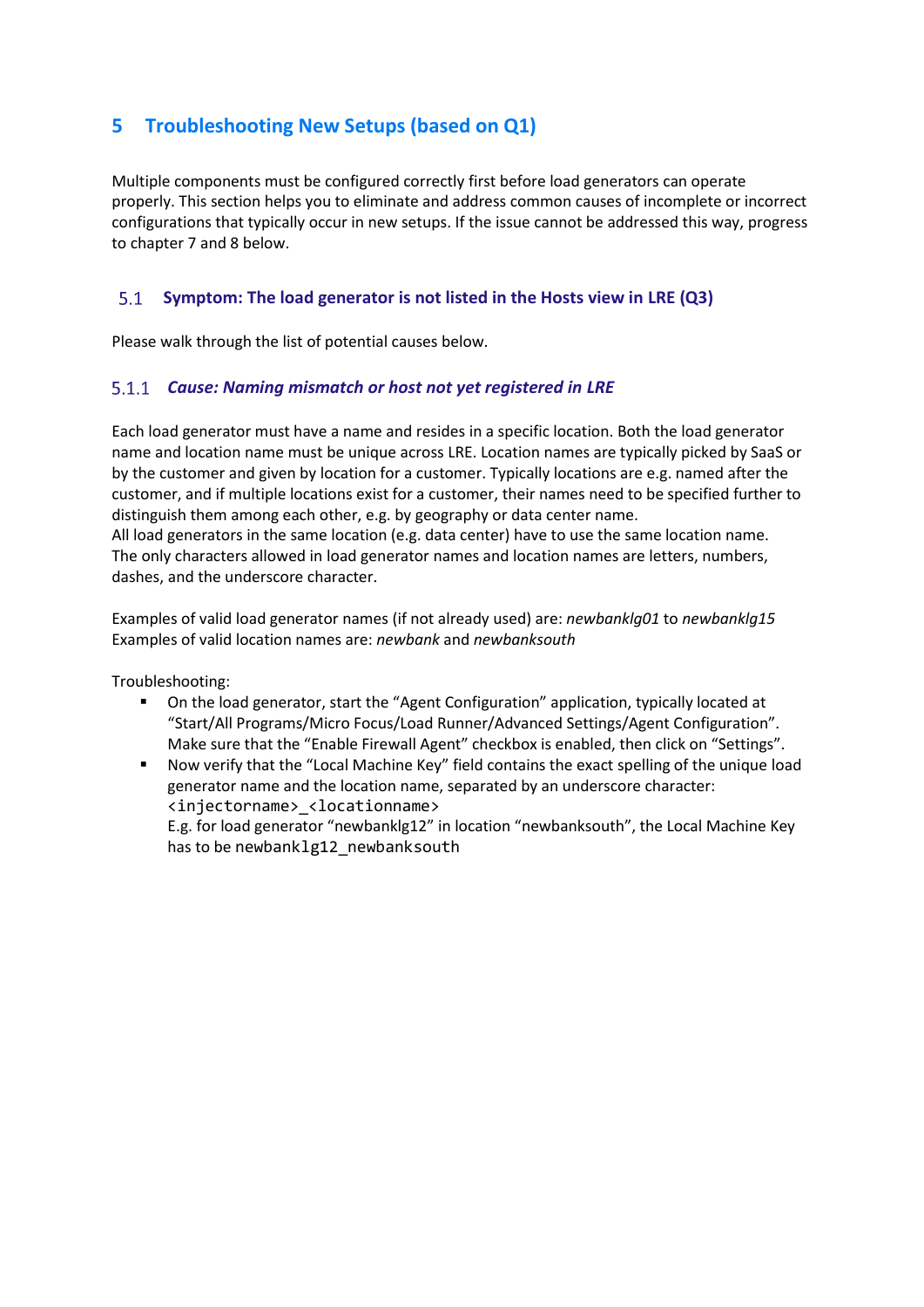# <span id="page-8-0"></span>**5 Troubleshooting New Setups (based on Q1)**

Multiple components must be configured correctly first before load generators can operate properly. This section helps you to eliminate and address common causes of incomplete or incorrect configurations that typically occur in new setups. If the issue cannot be addressed this way, progress to chapter 7 and 8 below.

#### <span id="page-8-1"></span> $5.1$ **Symptom: The load generator is not listed in the Hosts view in LRE (Q3)**

Please walk through the list of potential causes below.

#### *Cause: Naming mismatch or host not yet registered in LRE*

Each load generator must have a name and resides in a specific location. Both the load generator name and location name must be unique across LRE. Location names are typically picked by SaaS or by the customer and given by location for a customer. Typically locations are e.g. named after the customer, and if multiple locations exist for a customer, their names need to be specified further to distinguish them among each other, e.g. by geography or data center name. All load generators in the same location (e.g. data center) have to use the same location name. The only characters allowed in load generator names and location names are letters, numbers, dashes, and the underscore character.

Examples of valid load generator names (if not already used) are: *newbanklg01* to *newbanklg15* Examples of valid location names are: *newbank* and *newbanksouth*

Troubleshooting:

- On the load generator, start the "Agent Configuration" application, typically located at "Start/All Programs/Micro Focus/Load Runner/Advanced Settings/Agent Configuration". Make sure that the "Enable Firewall Agent" checkbox is enabled, then click on "Settings".
- Now verify that the "Local Machine Key" field contains the exact spelling of the unique load generator name and the location name, separated by an underscore character: <injectorname>\_<locationname>

E.g. for load generator "newbanklg12" in location "newbanksouth", the Local Machine Key has to be newbanklg12 newbanksouth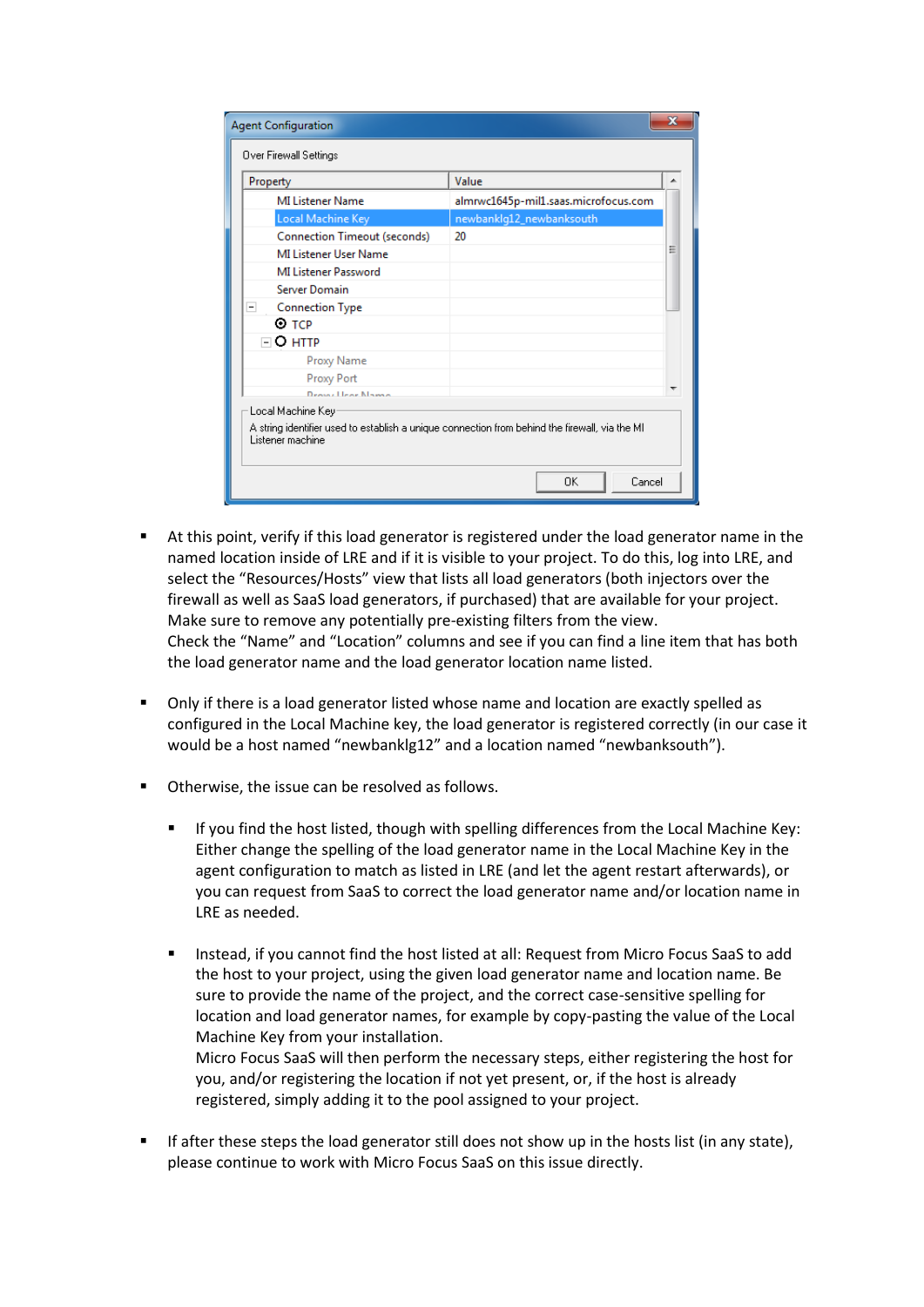| Property<br><b>MI Listener Name</b> | Value<br>almrwc1645p-mil1.saas.microfocus.com                                                  | ▲ |
|-------------------------------------|------------------------------------------------------------------------------------------------|---|
| Local Machine Key                   | newbanklg12_newbanksouth                                                                       |   |
| <b>Connection Timeout (seconds)</b> | 20                                                                                             |   |
| MI Listener User Name               |                                                                                                | Ξ |
| <b>MI Listener Password</b>         |                                                                                                |   |
| <b>Server Domain</b>                |                                                                                                |   |
| <b>Connection Type</b><br>-         |                                                                                                |   |
| ⊙ тср                               |                                                                                                |   |
| $\sqcap$ O http:                    |                                                                                                |   |
| Proxy Name                          |                                                                                                |   |
| Proxy Port                          |                                                                                                |   |
| <b>Droyel Leon Names</b>            |                                                                                                |   |
| Local Machine Key:                  | A string identifier used to establish a unique connection from behind the firewall, via the MI |   |

- At this point, verify if this load generator is registered under the load generator name in the named location inside of LRE and if it is visible to your project. To do this, log into LRE, and select the "Resources/Hosts" view that lists all load generators (both injectors over the firewall as well as SaaS load generators, if purchased) that are available for your project. Make sure to remove any potentially pre-existing filters from the view. Check the "Name" and "Location" columns and see if you can find a line item that has both the load generator name and the load generator location name listed.
- Only if there is a load generator listed whose name and location are exactly spelled as configured in the Local Machine key, the load generator is registered correctly (in our case it would be a host named "newbanklg12" and a location named "newbanksouth").
- Otherwise, the issue can be resolved as follows.
	- If you find the host listed, though with spelling differences from the Local Machine Key: Either change the spelling of the load generator name in the Local Machine Key in the agent configuration to match as listed in LRE (and let the agent restart afterwards), or you can request from SaaS to correct the load generator name and/or location name in LRE as needed.
	- Instead, if you cannot find the host listed at all: Request from Micro Focus SaaS to add the host to your project, using the given load generator name and location name. Be sure to provide the name of the project, and the correct case-sensitive spelling for location and load generator names, for example by copy-pasting the value of the Local Machine Key from your installation.

Micro Focus SaaS will then perform the necessary steps, either registering the host for you, and/or registering the location if not yet present, or, if the host is already registered, simply adding it to the pool assigned to your project.

If after these steps the load generator still does not show up in the hosts list (in any state), please continue to work with Micro Focus SaaS on this issue directly.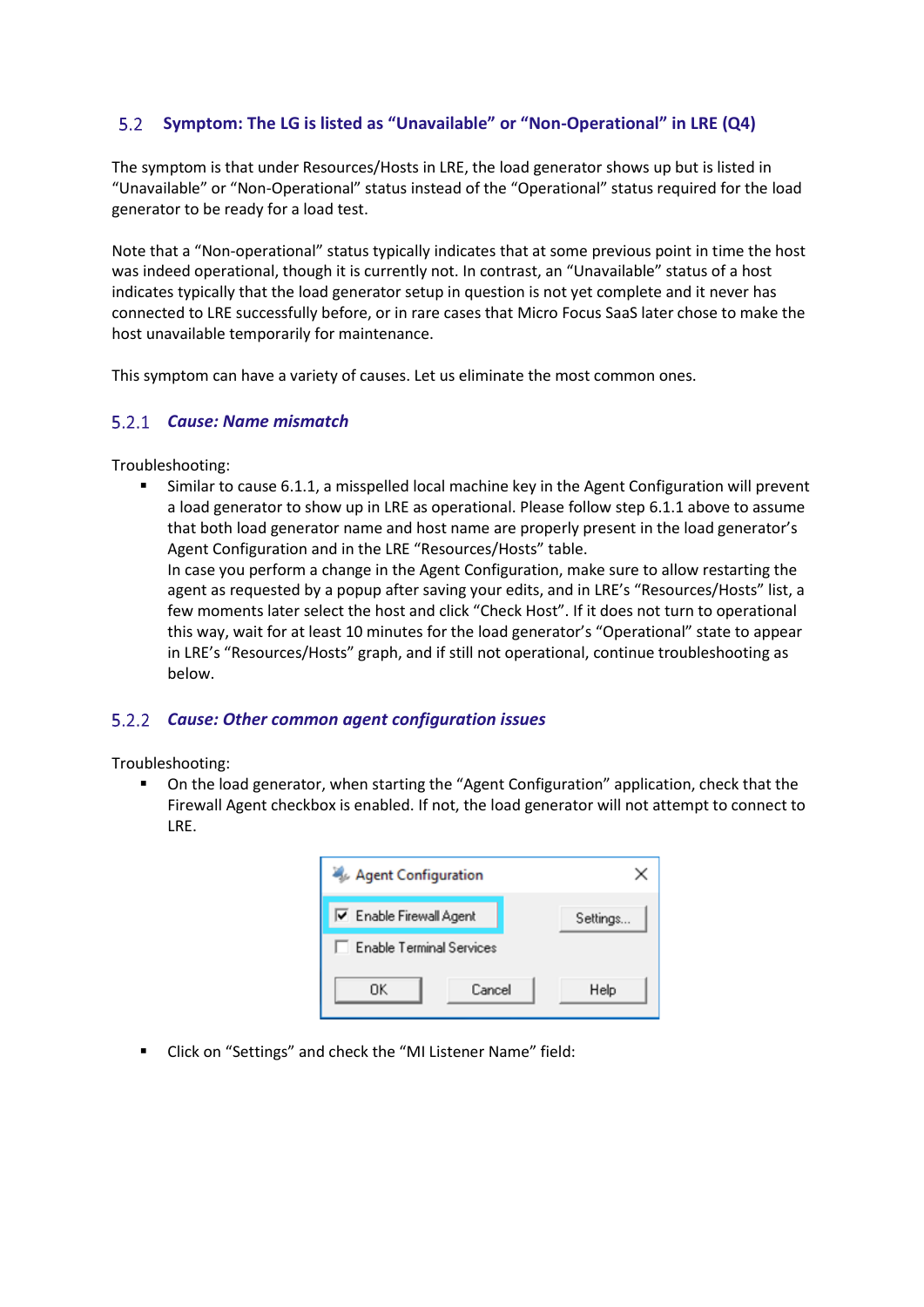#### <span id="page-10-0"></span> $5.2$ **Symptom: The LG is listed as "Unavailable" or "Non-Operational" in LRE (Q4)**

The symptom is that under Resources/Hosts in LRE, the load generator shows up but is listed in "Unavailable" or "Non-Operational" status instead of the "Operational" status required for the load generator to be ready for a load test.

Note that a "Non-operational" status typically indicates that at some previous point in time the host was indeed operational, though it is currently not. In contrast, an "Unavailable" status of a host indicates typically that the load generator setup in question is not yet complete and it never has connected to LRE successfully before, or in rare cases that Micro Focus SaaS later chose to make the host unavailable temporarily for maintenance.

This symptom can have a variety of causes. Let us eliminate the most common ones.

#### *Cause: Name mismatch*

Troubleshooting:

Similar to cause 6.1.1, a misspelled local machine key in the Agent Configuration will prevent a load generator to show up in LRE as operational. Please follow step 6.1.1 above to assume that both load generator name and host name are properly present in the load generator's Agent Configuration and in the LRE "Resources/Hosts" table.

In case you perform a change in the Agent Configuration, make sure to allow restarting the agent as requested by a popup after saving your edits, and in LRE's "Resources/Hosts" list, a few moments later select the host and click "Check Host". If it does not turn to operational this way, wait for at least 10 minutes for the load generator's "Operational" state to appear in LRE's "Resources/Hosts" graph, and if still not operational, continue troubleshooting as below.

# *Cause: Other common agent configuration issues*

Troubleshooting:

On the load generator, when starting the "Agent Configuration" application, check that the Firewall Agent checkbox is enabled. If not, the load generator will not attempt to connect to LRE.

| Agent Configuration             |          |  |  |  |  |  |  |  |  |
|---------------------------------|----------|--|--|--|--|--|--|--|--|
| <b>▽</b> Enable Firewall Agent  | Settings |  |  |  |  |  |  |  |  |
| <b>Enable Terminal Services</b> |          |  |  |  |  |  |  |  |  |
| ΩK<br>Cancel                    | Help     |  |  |  |  |  |  |  |  |

▪ Click on "Settings" and check the "MI Listener Name" field: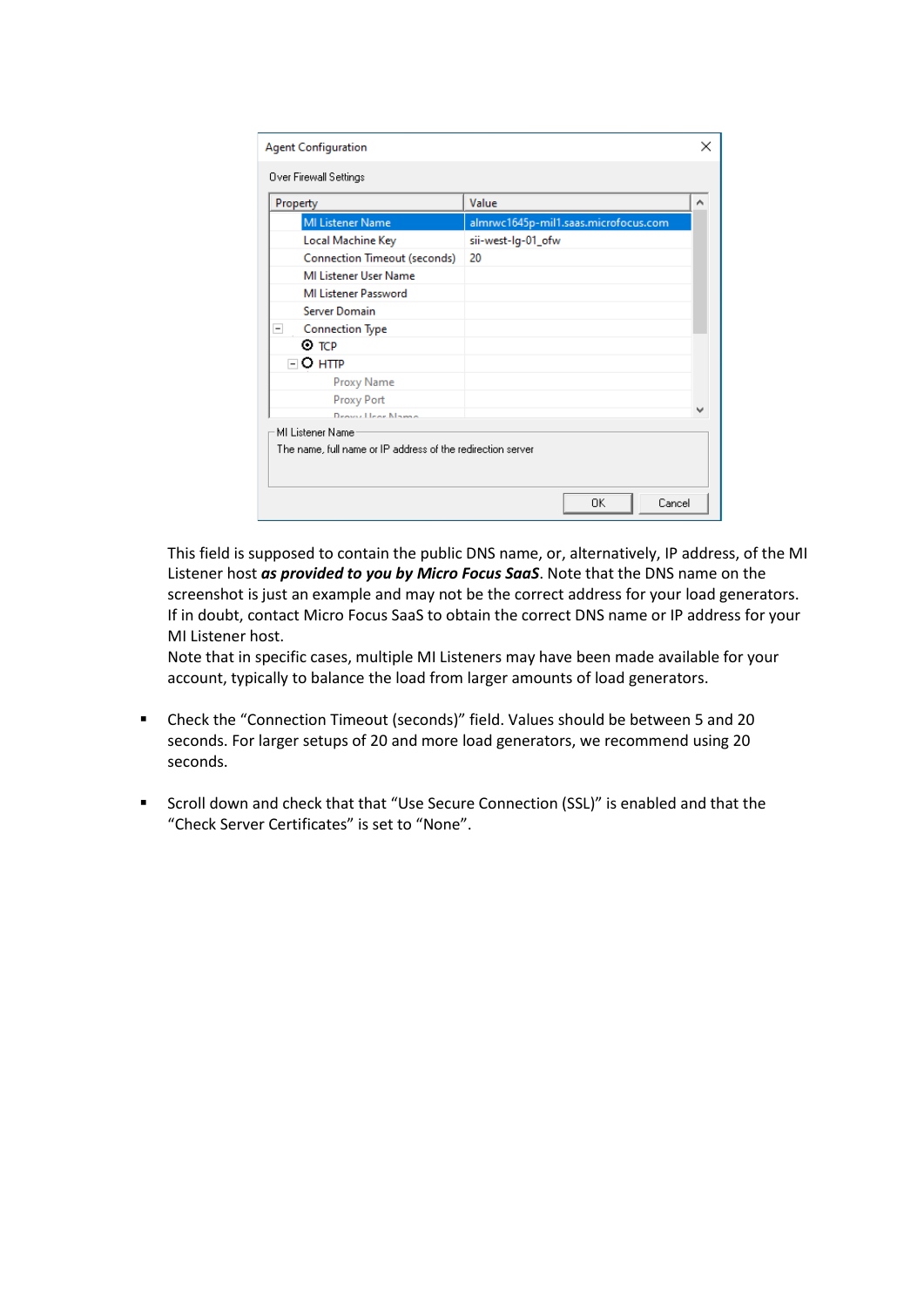| <b>MI Listener Name</b>             |                                                            |  |
|-------------------------------------|------------------------------------------------------------|--|
| Local Machine Key                   | almrwc1645p-mil1.saas.microfocus.com<br>sii-west-lg-01_ofw |  |
| <b>Connection Timeout (seconds)</b> | 20                                                         |  |
| MI Listener User Name               |                                                            |  |
| <b>MI Listener Password</b>         |                                                            |  |
| <b>Server Domain</b>                |                                                            |  |
|                                     |                                                            |  |
| <b>Connection Type</b><br>⊙ тср     |                                                            |  |
| $\sqcap$ O http:                    |                                                            |  |
| Proxy Name                          |                                                            |  |
| Proxy Port                          |                                                            |  |
| <b>Drowy Llear Names</b>            |                                                            |  |

This field is supposed to contain the public DNS name, or, alternatively, IP address, of the MI Listener host *as provided to you by Micro Focus SaaS*. Note that the DNS name on the screenshot is just an example and may not be the correct address for your load generators. If in doubt, contact Micro Focus SaaS to obtain the correct DNS name or IP address for your MI Listener host.

Note that in specific cases, multiple MI Listeners may have been made available for your account, typically to balance the load from larger amounts of load generators.

- Check the "Connection Timeout (seconds)" field. Values should be between 5 and 20 seconds. For larger setups of 20 and more load generators, we recommend using 20 seconds.
- Scroll down and check that that "Use Secure Connection (SSL)" is enabled and that the "Check Server Certificates" is set to "None".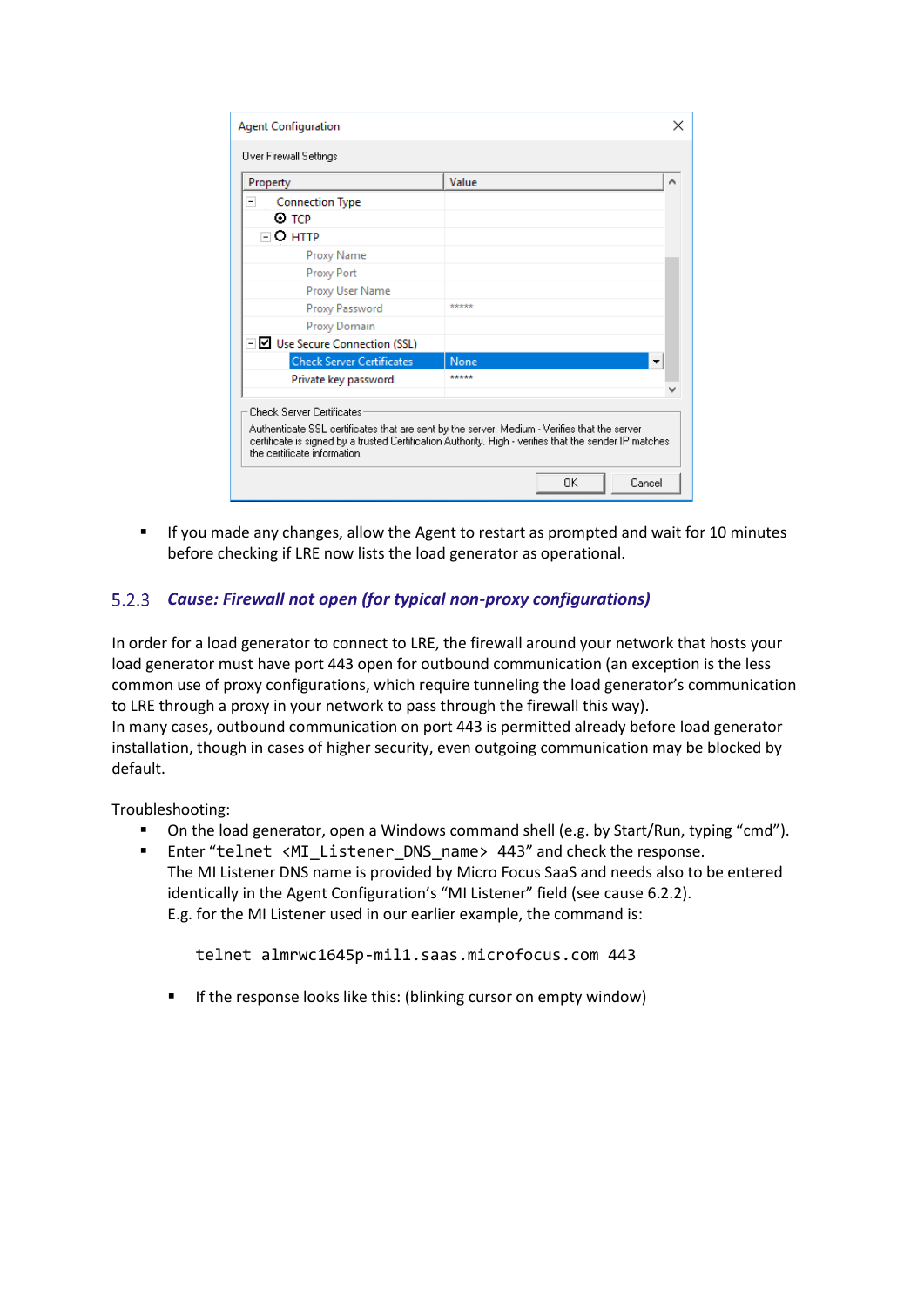| <b>Agent Configuration</b><br>×                    |                                                                                                                                                                                                        |   |  |  |  |  |
|----------------------------------------------------|--------------------------------------------------------------------------------------------------------------------------------------------------------------------------------------------------------|---|--|--|--|--|
| Over Firewall Settings                             |                                                                                                                                                                                                        |   |  |  |  |  |
| Property                                           | Value                                                                                                                                                                                                  | ۸ |  |  |  |  |
| <b>Connection Type</b><br>$\overline{\phantom{0}}$ |                                                                                                                                                                                                        |   |  |  |  |  |
| $\odot$ TCP                                        |                                                                                                                                                                                                        |   |  |  |  |  |
| $\Box$ O http                                      |                                                                                                                                                                                                        |   |  |  |  |  |
| Proxy Name                                         |                                                                                                                                                                                                        |   |  |  |  |  |
| Proxy Port                                         |                                                                                                                                                                                                        |   |  |  |  |  |
| Proxy User Name                                    |                                                                                                                                                                                                        |   |  |  |  |  |
| Proxy Password                                     | *****                                                                                                                                                                                                  |   |  |  |  |  |
| Proxy Domain                                       |                                                                                                                                                                                                        |   |  |  |  |  |
| $\Box$ Use Secure Connection (SSL)                 |                                                                                                                                                                                                        |   |  |  |  |  |
| <b>Check Server Certificates</b>                   | None                                                                                                                                                                                                   |   |  |  |  |  |
| Private key password                               | *****                                                                                                                                                                                                  |   |  |  |  |  |
| <b>Check Server Certificates</b>                   |                                                                                                                                                                                                        |   |  |  |  |  |
| the certificate information.                       | Authenticate SSL certificates that are sent by the server. Medium - Verifies that the server<br>certificate is signed by a trusted Certification Authority. High - verifies that the sender IP matches |   |  |  |  |  |
|                                                    | ΩK<br>Cancel                                                                                                                                                                                           |   |  |  |  |  |

**■** If you made any changes, allow the Agent to restart as prompted and wait for 10 minutes before checking if LRE now lists the load generator as operational.

# *Cause: Firewall not open (for typical non-proxy configurations)*

In order for a load generator to connect to LRE, the firewall around your network that hosts your load generator must have port 443 open for outbound communication (an exception is the less common use of proxy configurations, which require tunneling the load generator's communication to LRE through a proxy in your network to pass through the firewall this way). In many cases, outbound communication on port 443 is permitted already before load generator installation, though in cases of higher security, even outgoing communication may be blocked by default.

Troubleshooting:

- On the load generator, open a Windows command shell (e.g. by Start/Run, typing "cmd").
- Enter "telnet <MI\_Listener\_DNS\_name> 443" and check the response. The MI Listener DNS name is provided by Micro Focus SaaS and needs also to be entered identically in the Agent Configuration's "MI Listener" field (see cause 6.2.2). E.g. for the MI Listener used in our earlier example, the command is:

telnet almrwc1645p-mil1.saas.microfocus.com 443

If the response looks like this: (blinking cursor on empty window)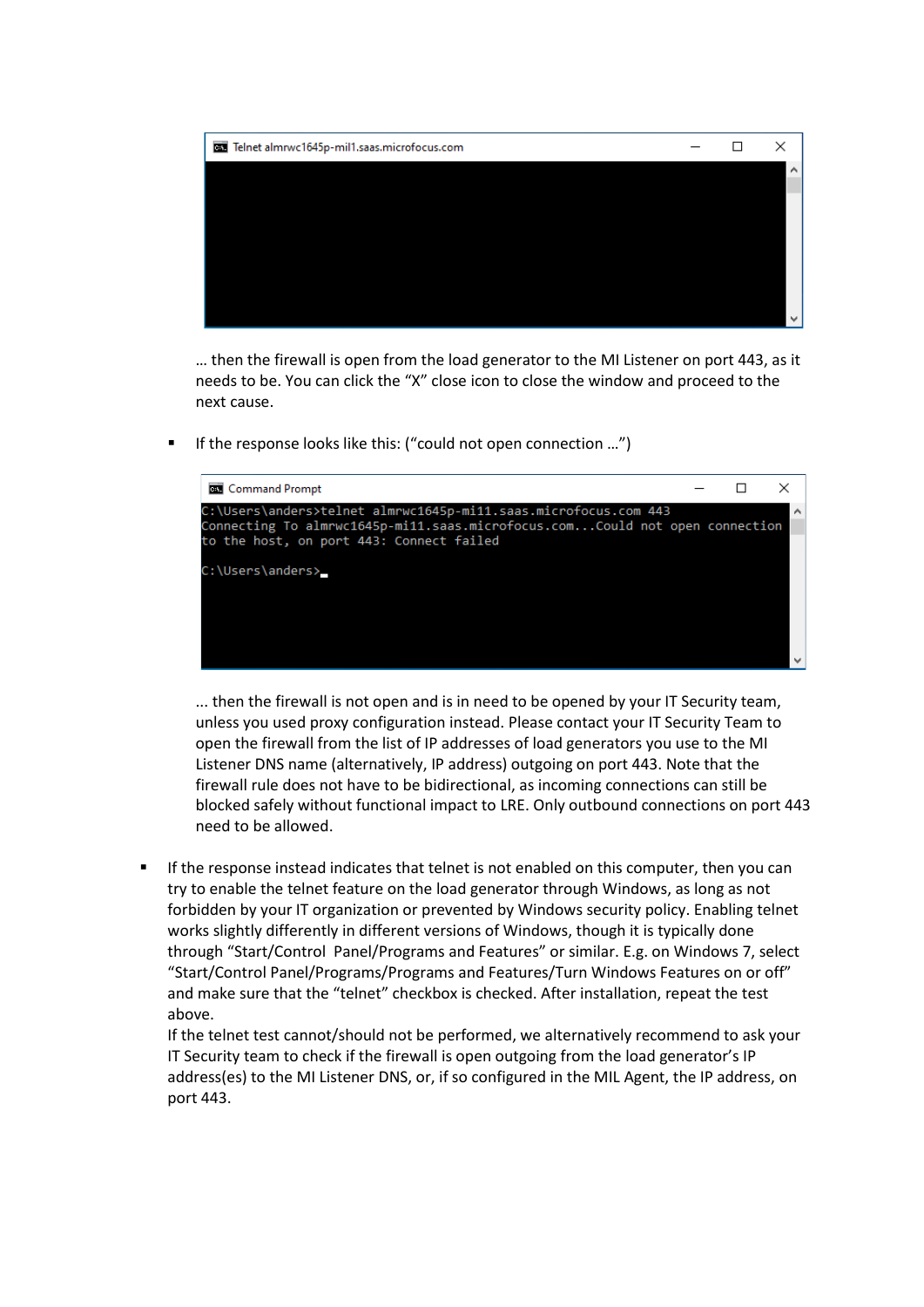

… then the firewall is open from the load generator to the MI Listener on port 443, as it needs to be. You can click the "X" close icon to close the window and proceed to the next cause.

If the response looks like this: ("could not open connection ...")



... then the firewall is not open and is in need to be opened by your IT Security team, unless you used proxy configuration instead. Please contact your IT Security Team to open the firewall from the list of IP addresses of load generators you use to the MI Listener DNS name (alternatively, IP address) outgoing on port 443. Note that the firewall rule does not have to be bidirectional, as incoming connections can still be blocked safely without functional impact to LRE. Only outbound connections on port 443 need to be allowed.

If the response instead indicates that telnet is not enabled on this computer, then you can try to enable the telnet feature on the load generator through Windows, as long as not forbidden by your IT organization or prevented by Windows security policy. Enabling telnet works slightly differently in different versions of Windows, though it is typically done through "Start/Control Panel/Programs and Features" or similar. E.g. on Windows 7, select "Start/Control Panel/Programs/Programs and Features/Turn Windows Features on or off" and make sure that the "telnet" checkbox is checked. After installation, repeat the test above.

If the telnet test cannot/should not be performed, we alternatively recommend to ask your IT Security team to check if the firewall is open outgoing from the load generator's IP address(es) to the MI Listener DNS, or, if so configured in the MIL Agent, the IP address, on port 443.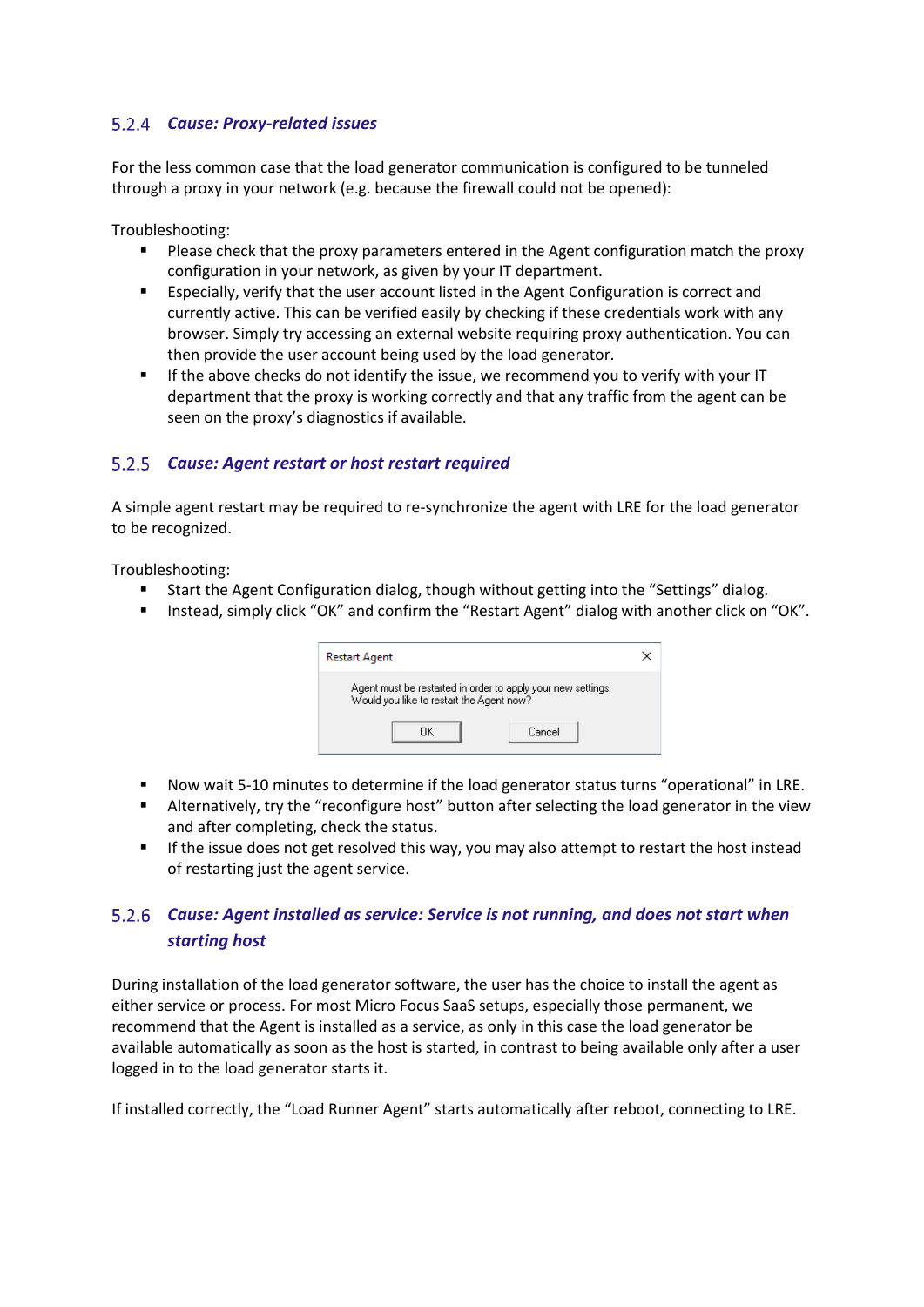# *Cause: Proxy-related issues*

For the less common case that the load generator communication is configured to be tunneled through a proxy in your network (e.g. because the firewall could not be opened):

Troubleshooting:

- **•** Please check that the proxy parameters entered in the Agent configuration match the proxy configuration in your network, as given by your IT department.
- Especially, verify that the user account listed in the Agent Configuration is correct and currently active. This can be verified easily by checking if these credentials work with any browser. Simply try accessing an external website requiring proxy authentication. You can then provide the user account being used by the load generator.
- **EXECT** If the above checks do not identify the issue, we recommend you to verify with your IT department that the proxy is working correctly and that any traffic from the agent can be seen on the proxy's diagnostics if available.

#### *Cause: Agent restart or host restart required*

A simple agent restart may be required to re-synchronize the agent with LRE for the load generator to be recognized.

Troubleshooting:

- Start the Agent Configuration dialog, though without getting into the "Settings" dialog.
- Instead, simply click "OK" and confirm the "Restart Agent" dialog with another click on "OK".

| <b>Restart Agent</b>                                                                                     |        |  |  |  |  |
|----------------------------------------------------------------------------------------------------------|--------|--|--|--|--|
| Agent must be restarted in order to apply your new settings.<br>Would you like to restart the Agent now? |        |  |  |  |  |
| ΠK                                                                                                       | Cancel |  |  |  |  |

- Now wait 5-10 minutes to determine if the load generator status turns "operational" in LRE.
- **EXECT** Alternatively, try the "reconfigure host" button after selecting the load generator in the view and after completing, check the status.
- **■** If the issue does not get resolved this way, you may also attempt to restart the host instead of restarting just the agent service.

# *Cause: Agent installed as service: Service is not running, and does not start when starting host*

During installation of the load generator software, the user has the choice to install the agent as either service or process. For most Micro Focus SaaS setups, especially those permanent, we recommend that the Agent is installed as a service, as only in this case the load generator be available automatically as soon as the host is started, in contrast to being available only after a user logged in to the load generator starts it.

If installed correctly, the "Load Runner Agent" starts automatically after reboot, connecting to LRE.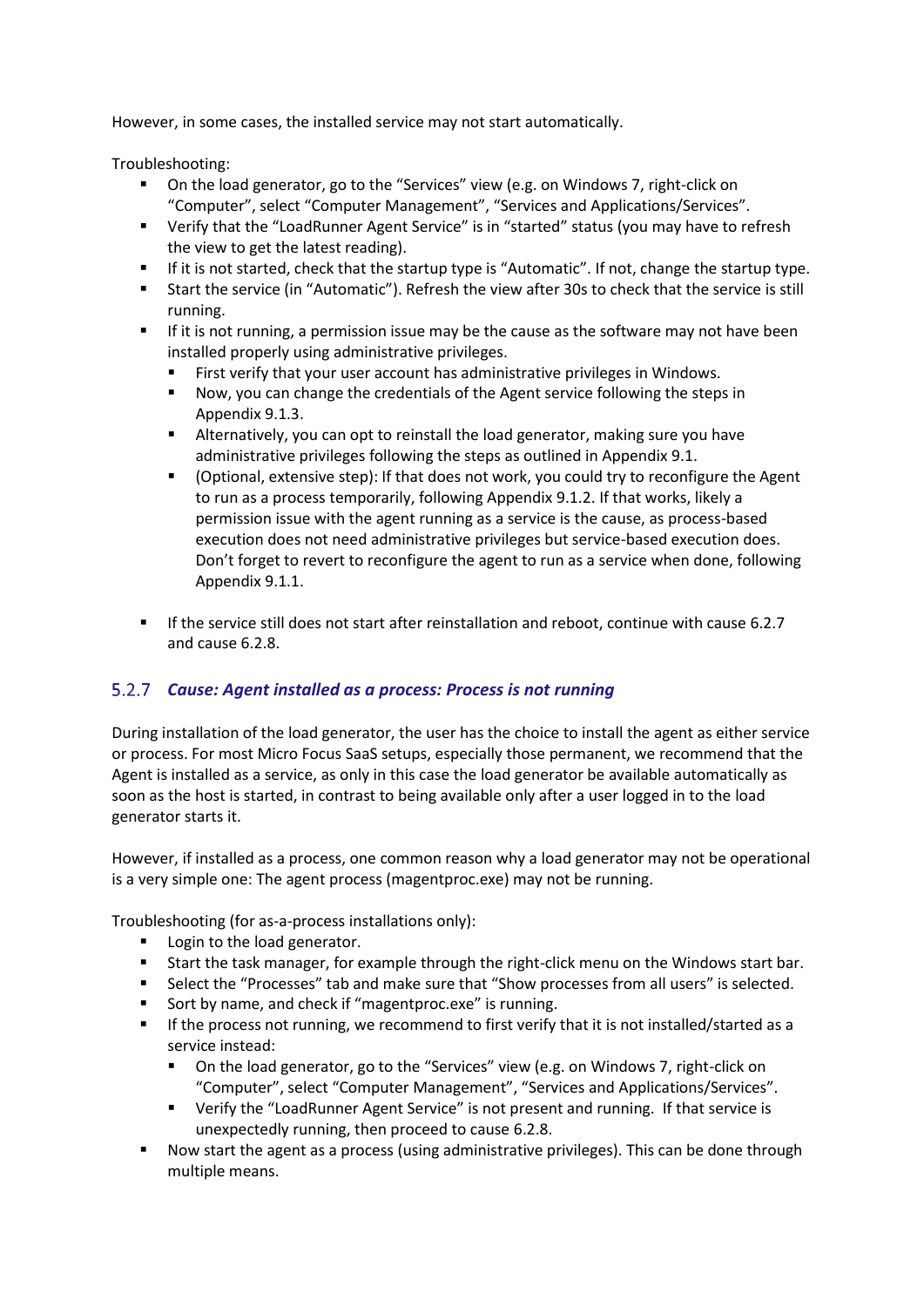However, in some cases, the installed service may not start automatically.

Troubleshooting:

- On the load generator, go to the "Services" view (e.g. on Windows 7, right-click on "Computer", select "Computer Management", "Services and Applications/Services".
- Verify that the "LoadRunner Agent Service" is in "started" status (you may have to refresh the view to get the latest reading).
- If it is not started, check that the startup type is "Automatic". If not, change the startup type.
- Start the service (in "Automatic"). Refresh the view after 30s to check that the service is still running.
- **■** If it is not running, a permission issue may be the cause as the software may not have been installed properly using administrative privileges.
	- First verify that your user account has administrative privileges in Windows.
	- Now, you can change the credentials of the Agent service following the steps in Appendix 9.1.3.
	- Alternatively, you can opt to reinstall the load generator, making sure you have administrative privileges following the steps as outlined in Appendix 9.1.
	- (Optional, extensive step): If that does not work, you could try to reconfigure the Agent to run as a process temporarily, following Appendix 9.1.2. If that works, likely a permission issue with the agent running as a service is the cause, as process-based execution does not need administrative privileges but service-based execution does. Don't forget to revert to reconfigure the agent to run as a service when done, following Appendix 9.1.1.
- If the service still does not start after reinstallation and reboot, continue with cause 6.2.7 and cause 6.2.8.

# *Cause: Agent installed as a process: Process is not running*

During installation of the load generator, the user has the choice to install the agent as either service or process. For most Micro Focus SaaS setups, especially those permanent, we recommend that the Agent is installed as a service, as only in this case the load generator be available automatically as soon as the host is started, in contrast to being available only after a user logged in to the load generator starts it.

However, if installed as a process, one common reason why a load generator may not be operational is a very simple one: The agent process (magentproc.exe) may not be running.

Troubleshooting (for as-a-process installations only):

- Login to the load generator.
- Start the task manager, for example through the right-click menu on the Windows start bar.
- Select the "Processes" tab and make sure that "Show processes from all users" is selected.
- Sort by name, and check if "magentproc.exe" is running.
- **■** If the process not running, we recommend to first verify that it is not installed/started as a service instead:
	- On the load generator, go to the "Services" view (e.g. on Windows 7, right-click on "Computer", select "Computer Management", "Services and Applications/Services".
	- Verify the "LoadRunner Agent Service" is not present and running. If that service is unexpectedly running, then proceed to cause 6.2.8.
- Now start the agent as a process (using administrative privileges). This can be done through multiple means.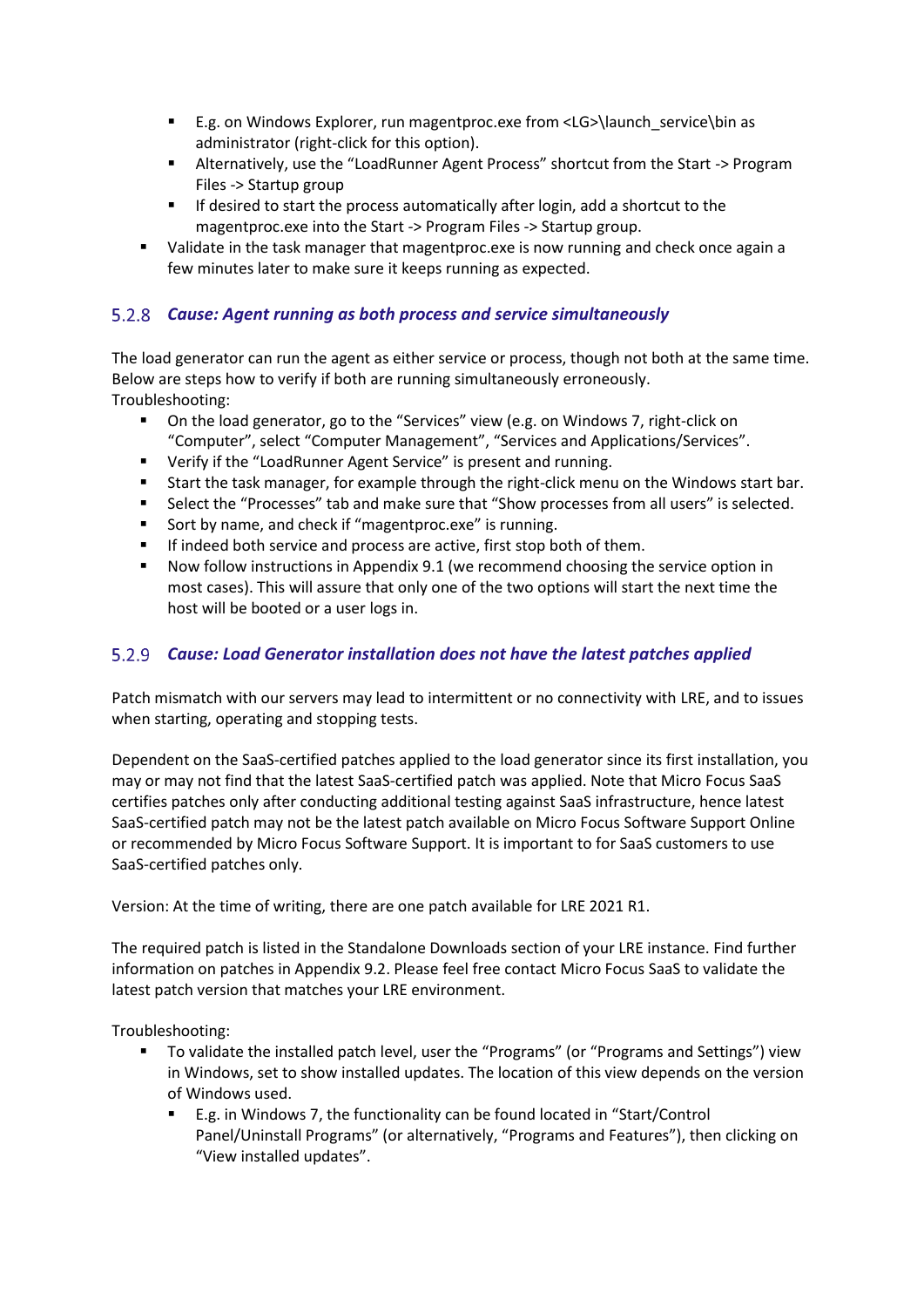- E.g. on Windows Explorer, run magentproc.exe from <LG>\launch\_service\bin as administrator (right-click for this option).
- Alternatively, use the "LoadRunner Agent Process" shortcut from the Start -> Program Files -> Startup group
- If desired to start the process automatically after login, add a shortcut to the magentproc.exe into the Start -> Program Files -> Startup group.
- Validate in the task manager that magentproc.exe is now running and check once again a few minutes later to make sure it keeps running as expected.

# *Cause: Agent running as both process and service simultaneously*

The load generator can run the agent as either service or process, though not both at the same time. Below are steps how to verify if both are running simultaneously erroneously. Troubleshooting:

- On the load generator, go to the "Services" view (e.g. on Windows 7, right-click on "Computer", select "Computer Management", "Services and Applications/Services".
- Verify if the "LoadRunner Agent Service" is present and running.
- Start the task manager, for example through the right-click menu on the Windows start bar.
- Select the "Processes" tab and make sure that "Show processes from all users" is selected.
- Sort by name, and check if "magentproc.exe" is running.
- If indeed both service and process are active, first stop both of them.
- Now follow instructions in Appendix 9.1 (we recommend choosing the service option in most cases). This will assure that only one of the two options will start the next time the host will be booted or a user logs in.

# *Cause: Load Generator installation does not have the latest patches applied*

Patch mismatch with our servers may lead to intermittent or no connectivity with LRE, and to issues when starting, operating and stopping tests.

Dependent on the SaaS-certified patches applied to the load generator since its first installation, you may or may not find that the latest SaaS-certified patch was applied. Note that Micro Focus SaaS certifies patches only after conducting additional testing against SaaS infrastructure, hence latest SaaS-certified patch may not be the latest patch available on Micro Focus Software Support Online or recommended by Micro Focus Software Support. It is important to for SaaS customers to use SaaS-certified patches only.

Version: At the time of writing, there are one patch available for LRE 2021 R1.

The required patch is listed in the Standalone Downloads section of your LRE instance. Find further information on patches in Appendix 9.2. Please feel free contact Micro Focus SaaS to validate the latest patch version that matches your LRE environment.

Troubleshooting:

- To validate the installed patch level, user the "Programs" (or "Programs and Settings") view in Windows, set to show installed updates. The location of this view depends on the version of Windows used.
	- E.g. in Windows 7, the functionality can be found located in "Start/Control" Panel/Uninstall Programs" (or alternatively, "Programs and Features"), then clicking on "View installed updates".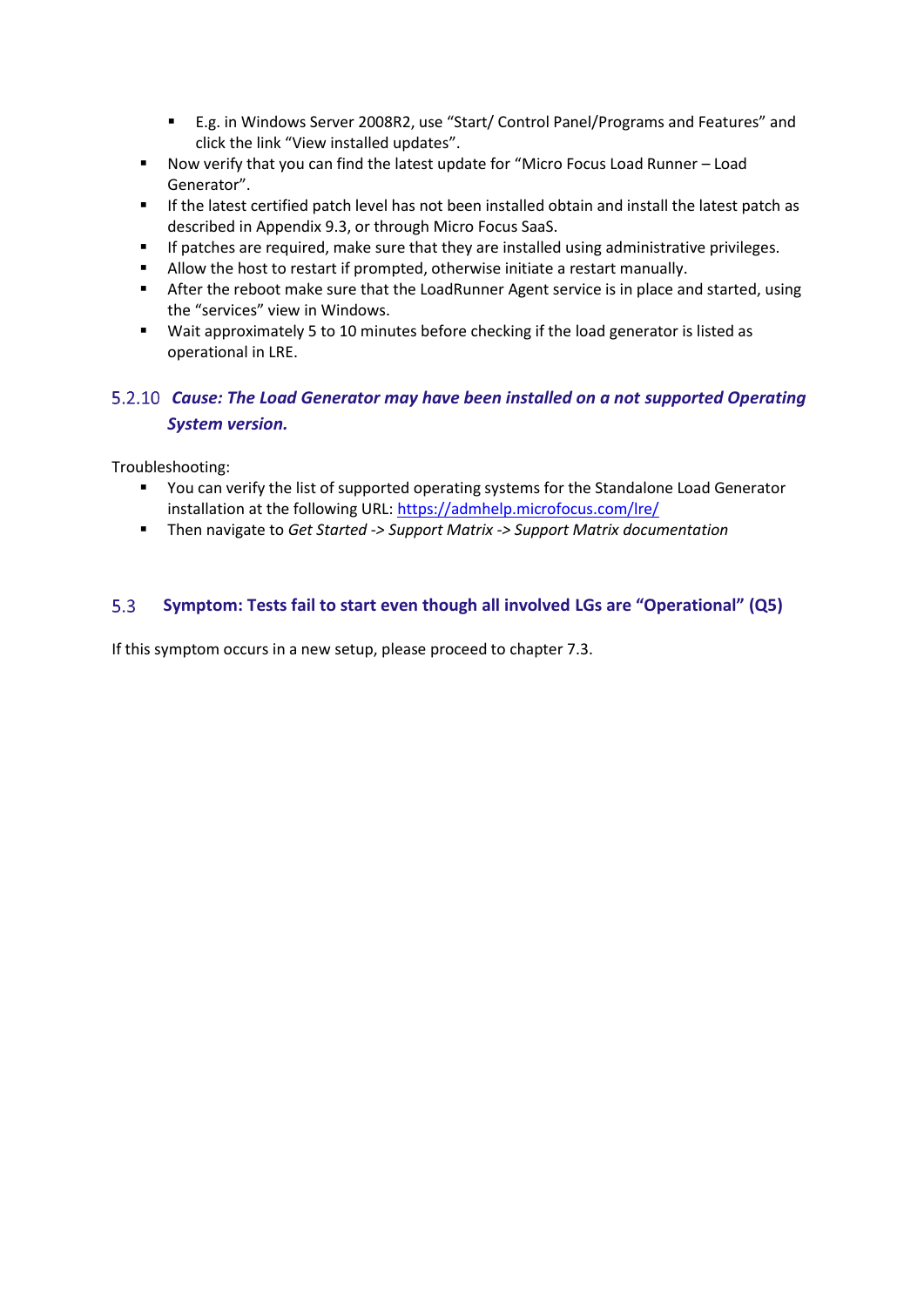- E.g. in Windows Server 2008R2, use "Start/ Control Panel/Programs and Features" and click the link "View installed updates".
- Now verify that you can find the latest update for "Micro Focus Load Runner Load Generator".
- **■** If the latest certified patch level has not been installed obtain and install the latest patch as described in Appendix 9.3, or through Micro Focus SaaS.
- If patches are required, make sure that they are installed using administrative privileges.
- Allow the host to restart if prompted, otherwise initiate a restart manually.
- **EXECT** After the reboot make sure that the LoadRunner Agent service is in place and started, using the "services" view in Windows.
- Wait approximately 5 to 10 minutes before checking if the load generator is listed as operational in LRE.

# *Cause: The Load Generator may have been installed on a not supported Operating System version.*

Troubleshooting:

- You can verify the list of supported operating systems for the Standalone Load Generator installation at the following URL:<https://admhelp.microfocus.com/lre/>
- Then navigate to *Get Started -> Support Matrix -> Support Matrix documentation*

#### <span id="page-17-0"></span> $5.3$ **Symptom: Tests fail to start even though all involved LGs are "Operational" (Q5)**

If this symptom occurs in a new setup, please proceed to chapter 7.3.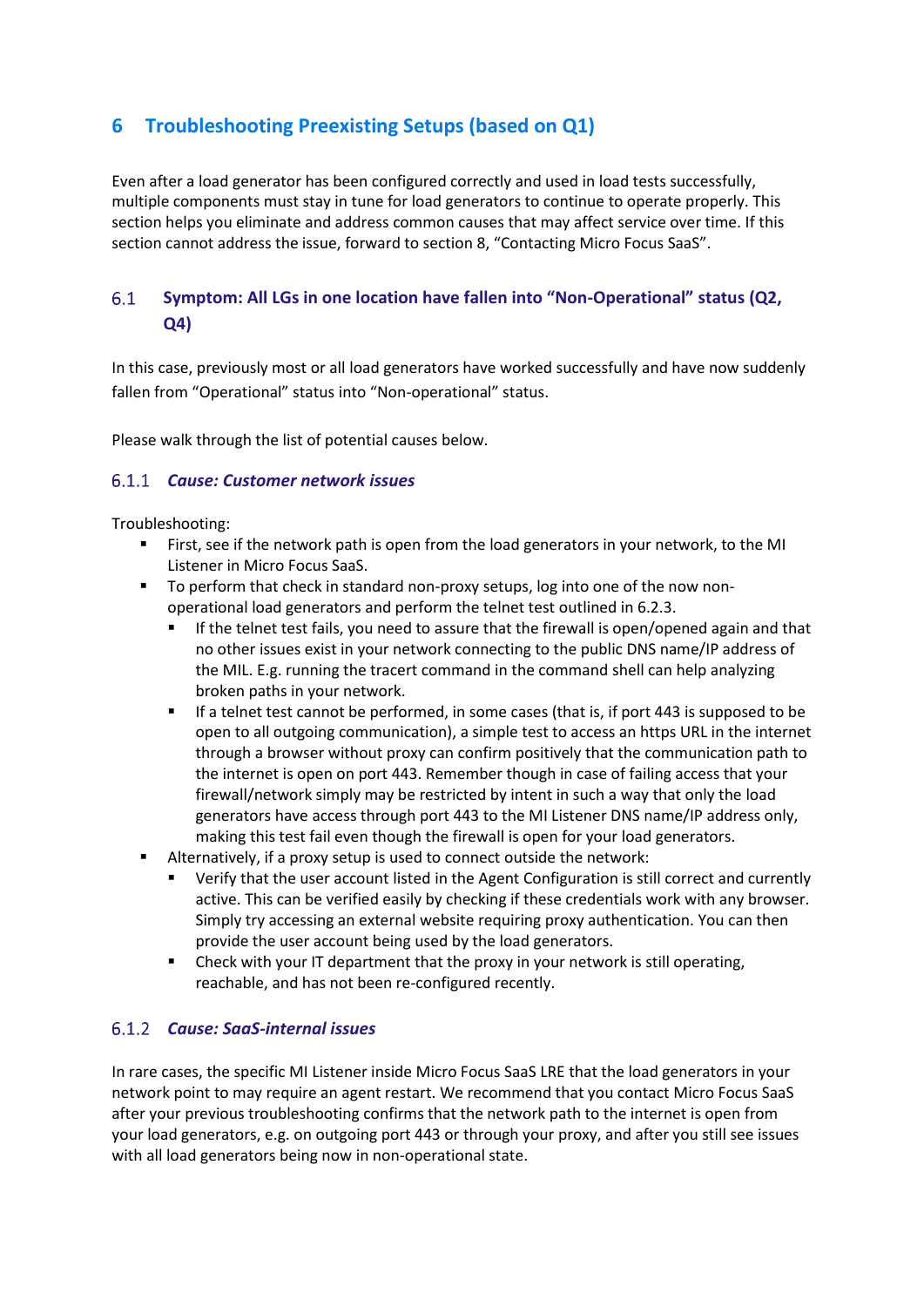# <span id="page-18-0"></span>**6 Troubleshooting Preexisting Setups (based on Q1)**

Even after a load generator has been configured correctly and used in load tests successfully, multiple components must stay in tune for load generators to continue to operate properly. This section helps you eliminate and address common causes that may affect service over time. If this section cannot address the issue, forward to section 8, "Contacting Micro Focus SaaS".

#### <span id="page-18-1"></span> $6.1$ **Symptom: All LGs in one location have fallen into "Non-Operational" status (Q2, Q4)**

In this case, previously most or all load generators have worked successfully and have now suddenly fallen from "Operational" status into "Non-operational" status.

Please walk through the list of potential causes below.

#### *Cause: Customer network issues*

Troubleshooting:

- **EXECT** First, see if the network path is open from the load generators in your network, to the MI Listener in Micro Focus SaaS.
- To perform that check in standard non-proxy setups, log into one of the now nonoperational load generators and perform the telnet test outlined in 6.2.3.
	- If the telnet test fails, you need to assure that the firewall is open/opened again and that no other issues exist in your network connecting to the public DNS name/IP address of the MIL. E.g. running the tracert command in the command shell can help analyzing broken paths in your network.
	- If a telnet test cannot be performed, in some cases (that is, if port 443 is supposed to be open to all outgoing communication), a simple test to access an https URL in the internet through a browser without proxy can confirm positively that the communication path to the internet is open on port 443. Remember though in case of failing access that your firewall/network simply may be restricted by intent in such a way that only the load generators have access through port 443 to the MI Listener DNS name/IP address only, making this test fail even though the firewall is open for your load generators.
- Alternatively, if a proxy setup is used to connect outside the network:
	- Verify that the user account listed in the Agent Configuration is still correct and currently active. This can be verified easily by checking if these credentials work with any browser. Simply try accessing an external website requiring proxy authentication. You can then provide the user account being used by the load generators.
	- Check with your IT department that the proxy in your network is still operating, reachable, and has not been re-configured recently.

#### *Cause: SaaS-internal issues*

In rare cases, the specific MI Listener inside Micro Focus SaaS LRE that the load generators in your network point to may require an agent restart. We recommend that you contact Micro Focus SaaS after your previous troubleshooting confirms that the network path to the internet is open from your load generators, e.g. on outgoing port 443 or through your proxy, and after you still see issues with all load generators being now in non-operational state.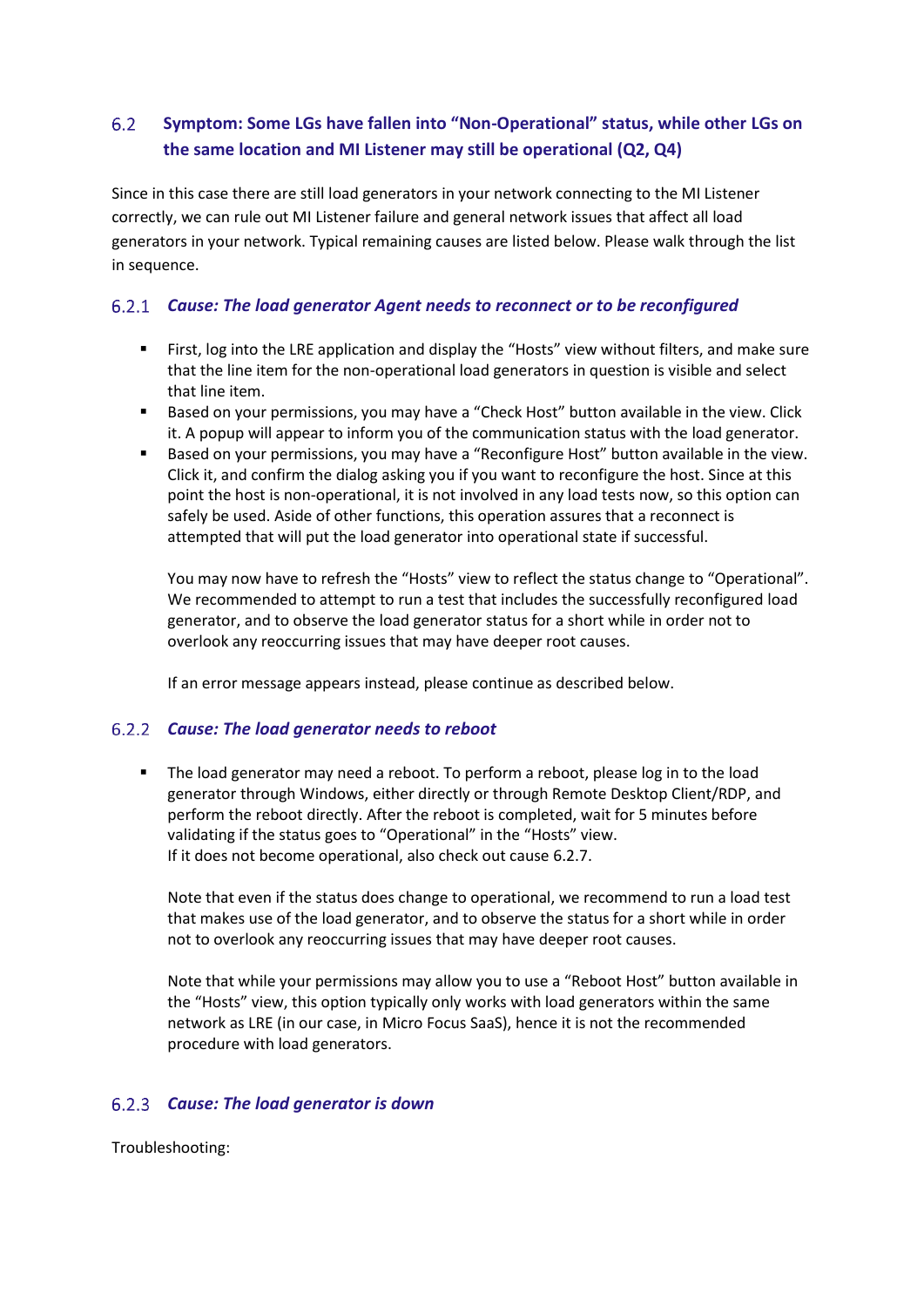#### <span id="page-19-0"></span> $6.2$ **Symptom: Some LGs have fallen into "Non-Operational" status, while other LGs on the same location and MI Listener may still be operational (Q2, Q4)**

Since in this case there are still load generators in your network connecting to the MI Listener correctly, we can rule out MI Listener failure and general network issues that affect all load generators in your network. Typical remaining causes are listed below. Please walk through the list in sequence.

# *Cause: The load generator Agent needs to reconnect or to be reconfigured*

- First, log into the LRE application and display the "Hosts" view without filters, and make sure that the line item for the non-operational load generators in question is visible and select that line item.
- Based on your permissions, you may have a "Check Host" button available in the view. Click it. A popup will appear to inform you of the communication status with the load generator.
- Based on your permissions, you may have a "Reconfigure Host" button available in the view. Click it, and confirm the dialog asking you if you want to reconfigure the host. Since at this point the host is non-operational, it is not involved in any load tests now, so this option can safely be used. Aside of other functions, this operation assures that a reconnect is attempted that will put the load generator into operational state if successful.

You may now have to refresh the "Hosts" view to reflect the status change to "Operational". We recommended to attempt to run a test that includes the successfully reconfigured load generator, and to observe the load generator status for a short while in order not to overlook any reoccurring issues that may have deeper root causes.

If an error message appears instead, please continue as described below.

#### *Cause: The load generator needs to reboot*

■ The load generator may need a reboot. To perform a reboot, please log in to the load generator through Windows, either directly or through Remote Desktop Client/RDP, and perform the reboot directly. After the reboot is completed, wait for 5 minutes before validating if the status goes to "Operational" in the "Hosts" view. If it does not become operational, also check out cause 6.2.7.

Note that even if the status does change to operational, we recommend to run a load test that makes use of the load generator, and to observe the status for a short while in order not to overlook any reoccurring issues that may have deeper root causes.

Note that while your permissions may allow you to use a "Reboot Host" button available in the "Hosts" view, this option typically only works with load generators within the same network as LRE (in our case, in Micro Focus SaaS), hence it is not the recommended procedure with load generators.

#### *Cause: The load generator is down*

Troubleshooting: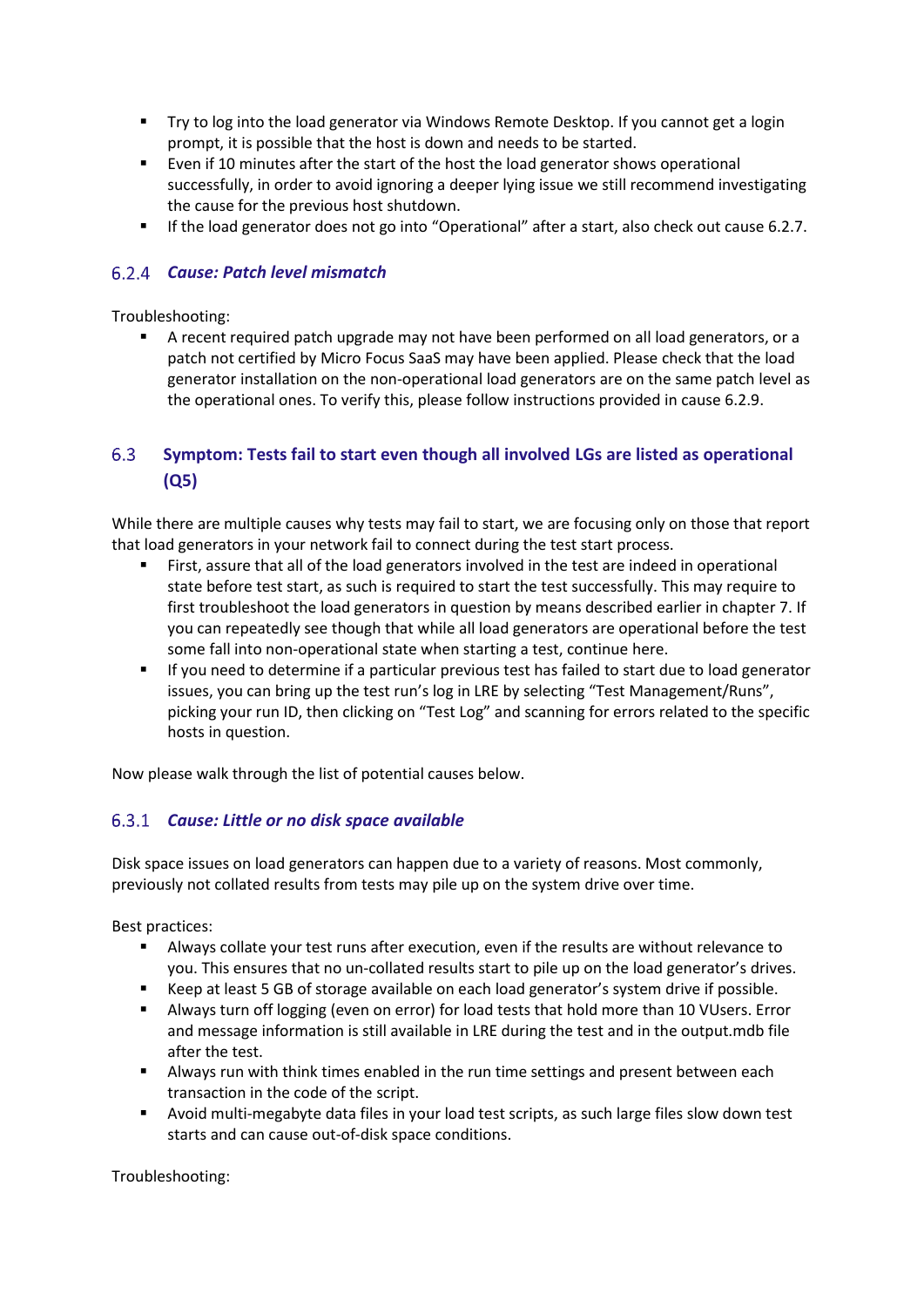- Try to log into the load generator via Windows Remote Desktop. If you cannot get a login prompt, it is possible that the host is down and needs to be started.
- Even if 10 minutes after the start of the host the load generator shows operational successfully, in order to avoid ignoring a deeper lying issue we still recommend investigating the cause for the previous host shutdown.
- If the load generator does not go into "Operational" after a start, also check out cause 6.2.7.

#### *Cause: Patch level mismatch*

#### Troubleshooting:

■ A recent required patch upgrade may not have been performed on all load generators, or a patch not certified by Micro Focus SaaS may have been applied. Please check that the load generator installation on the non-operational load generators are on the same patch level as the operational ones. To verify this, please follow instructions provided in cause 6.2.9.

#### <span id="page-20-0"></span>6.3 **Symptom: Tests fail to start even though all involved LGs are listed as operational (Q5)**

While there are multiple causes why tests may fail to start, we are focusing only on those that report that load generators in your network fail to connect during the test start process.

- First, assure that all of the load generators involved in the test are indeed in operational state before test start, as such is required to start the test successfully. This may require to first troubleshoot the load generators in question by means described earlier in chapter 7. If you can repeatedly see though that while all load generators are operational before the test some fall into non-operational state when starting a test, continue here.
- If you need to determine if a particular previous test has failed to start due to load generator issues, you can bring up the test run's log in LRE by selecting "Test Management/Runs", picking your run ID, then clicking on "Test Log" and scanning for errors related to the specific hosts in question.

Now please walk through the list of potential causes below.

# *Cause: Little or no disk space available*

Disk space issues on load generators can happen due to a variety of reasons. Most commonly, previously not collated results from tests may pile up on the system drive over time.

Best practices:

- Always collate your test runs after execution, even if the results are without relevance to you. This ensures that no un-collated results start to pile up on the load generator's drives.
- Keep at least 5 GB of storage available on each load generator's system drive if possible.
- Always turn off logging (even on error) for load tests that hold more than 10 VUsers. Error and message information is still available in LRE during the test and in the output.mdb file after the test.
- **■** Always run with think times enabled in the run time settings and present between each transaction in the code of the script.
- Avoid multi-megabyte data files in your load test scripts, as such large files slow down test starts and can cause out-of-disk space conditions.

Troubleshooting: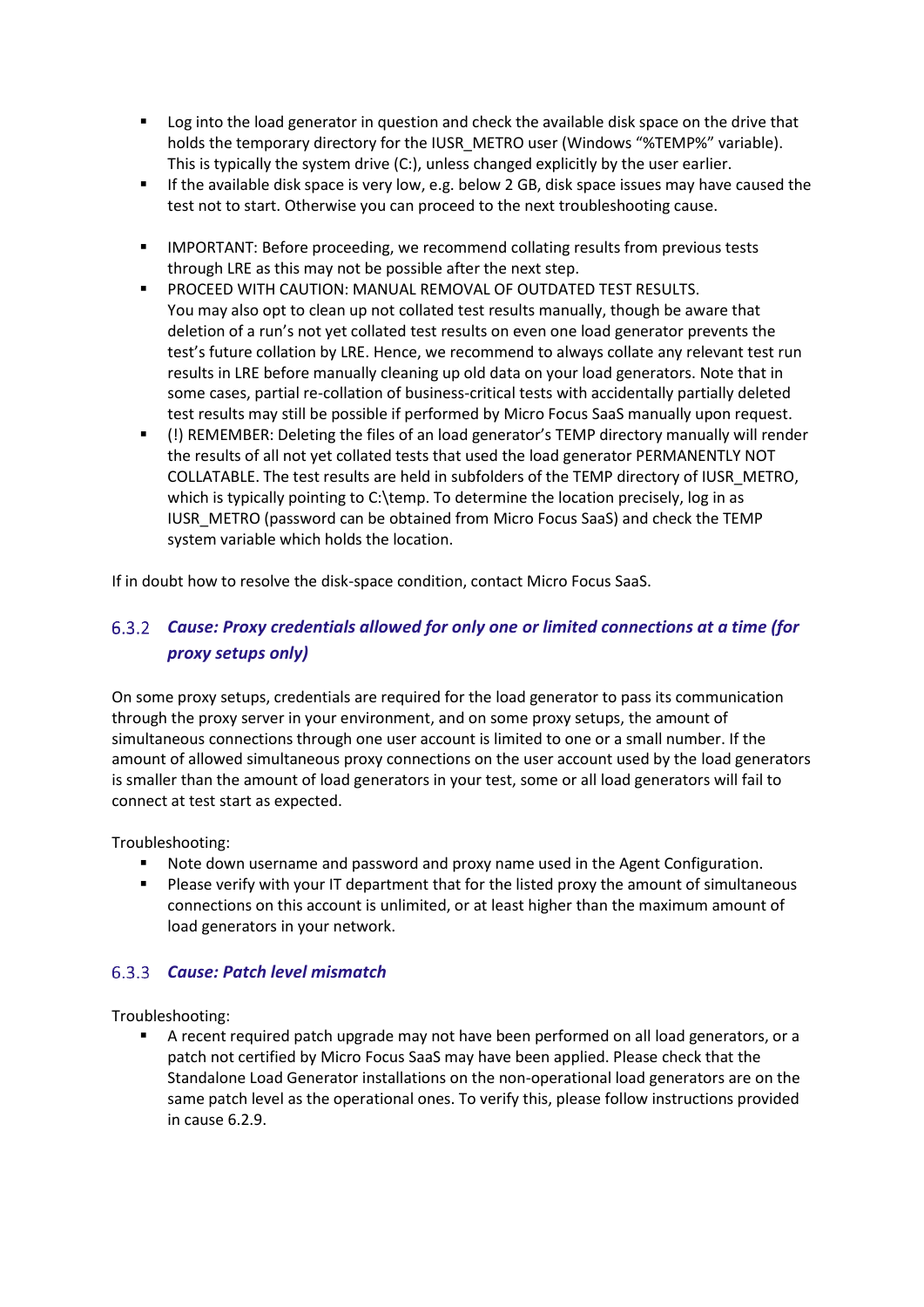- Log into the load generator in question and check the available disk space on the drive that holds the temporary directory for the IUSR\_METRO user (Windows "%TEMP%" variable). This is typically the system drive (C:), unless changed explicitly by the user earlier.
- **EXECT** If the available disk space is very low, e.g. below 2 GB, disk space issues may have caused the test not to start. Otherwise you can proceed to the next troubleshooting cause.
- IMPORTANT: Before proceeding, we recommend collating results from previous tests through LRE as this may not be possible after the next step.
- PROCEED WITH CAUTION: MANUAL REMOVAL OF OUTDATED TEST RESULTS. You may also opt to clean up not collated test results manually, though be aware that deletion of a run's not yet collated test results on even one load generator prevents the test's future collation by LRE. Hence, we recommend to always collate any relevant test run results in LRE before manually cleaning up old data on your load generators. Note that in some cases, partial re-collation of business-critical tests with accidentally partially deleted test results may still be possible if performed by Micro Focus SaaS manually upon request.
- (!) REMEMBER: Deleting the files of an load generator's TEMP directory manually will render the results of all not yet collated tests that used the load generator PERMANENTLY NOT COLLATABLE. The test results are held in subfolders of the TEMP directory of IUSR\_METRO, which is typically pointing to C:\temp. To determine the location precisely, log in as IUSR\_METRO (password can be obtained from Micro Focus SaaS) and check the TEMP system variable which holds the location.

If in doubt how to resolve the disk-space condition, contact Micro Focus SaaS.

# *Cause: Proxy credentials allowed for only one or limited connections at a time (for proxy setups only)*

On some proxy setups, credentials are required for the load generator to pass its communication through the proxy server in your environment, and on some proxy setups, the amount of simultaneous connections through one user account is limited to one or a small number. If the amount of allowed simultaneous proxy connections on the user account used by the load generators is smaller than the amount of load generators in your test, some or all load generators will fail to connect at test start as expected.

Troubleshooting:

- Note down username and password and proxy name used in the Agent Configuration.
- Please verify with your IT department that for the listed proxy the amount of simultaneous connections on this account is unlimited, or at least higher than the maximum amount of load generators in your network.

# *Cause: Patch level mismatch*

Troubleshooting:

■ A recent required patch upgrade may not have been performed on all load generators, or a patch not certified by Micro Focus SaaS may have been applied. Please check that the Standalone Load Generator installations on the non-operational load generators are on the same patch level as the operational ones. To verify this, please follow instructions provided in cause 6.2.9.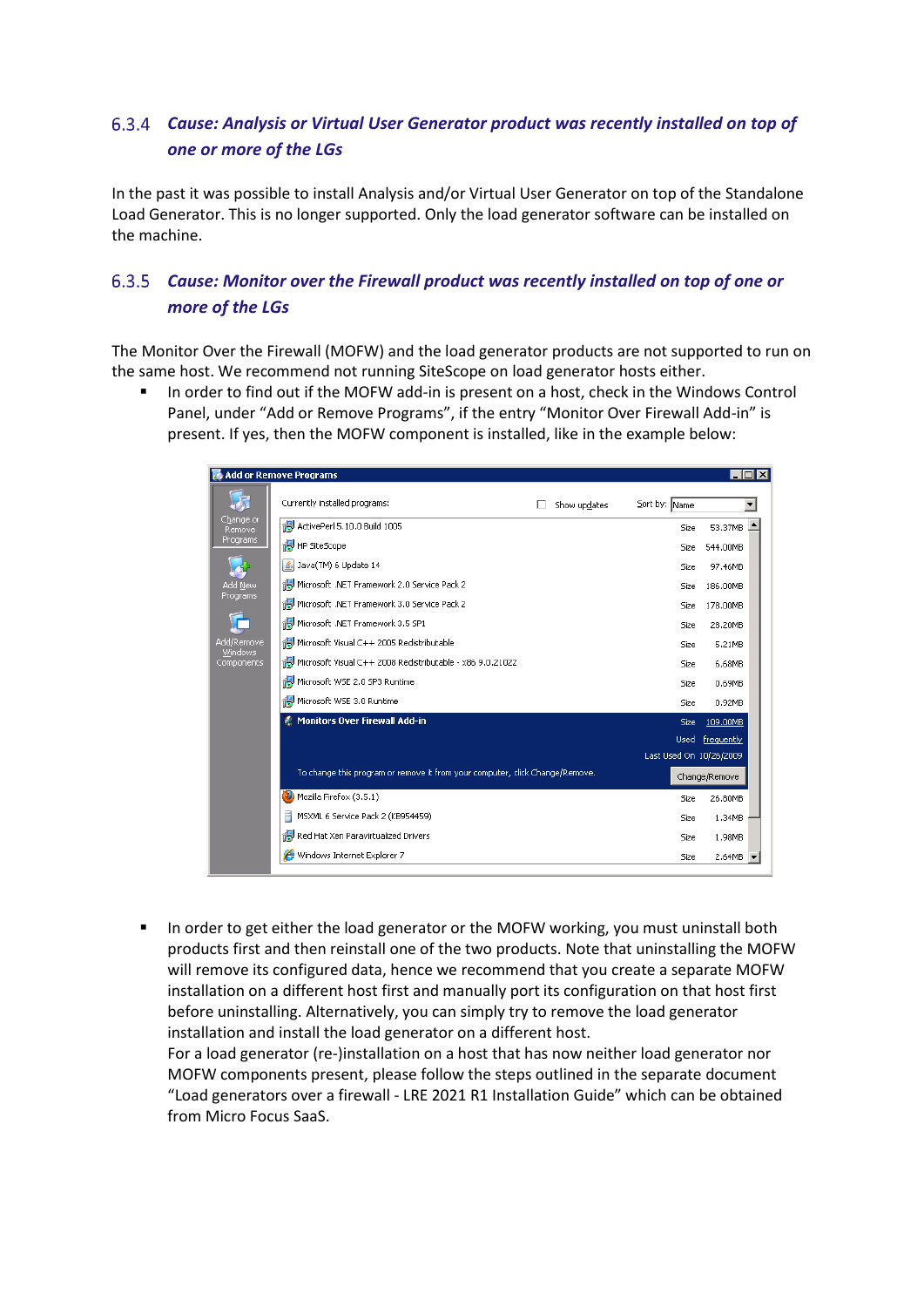# *Cause: Analysis or Virtual User Generator product was recently installed on top of one or more of the LGs*

In the past it was possible to install Analysis and/or Virtual User Generator on top of the Standalone Load Generator. This is no longer supported. Only the load generator software can be installed on the machine.

# *Cause: Monitor over the Firewall product was recently installed on top of one or more of the LGs*

The Monitor Over the Firewall (MOFW) and the load generator products are not supported to run on the same host. We recommend not running SiteScope on load generator hosts either.

In order to find out if the MOFW add-in is present on a host, check in the Windows Control Panel, under "Add or Remove Programs", if the entry "Monitor Over Firewall Add-in" is present. If yes, then the MOFW component is installed, like in the example below:

| 嵛<br>Currently installed programs:<br>Sort by: Name<br>Show updates<br>Change or<br>ActivePerl 5.10.0 Build 1005<br>53.37MB<br>Size<br>Remove<br>Programs<br>ia HP SiteScope<br>544.00MB<br>Size<br>5 Java(TM) 6 Update 14<br>Size<br>97.46MB<br>Microsoft .NET Framework 2.0 Service Pack 2<br>Add New<br>186.00MB<br>Size<br>Programs<br>Microsoft .NET Framework 3.0 Service Pack 2<br>Size<br>178.00MB<br>Microsoft .NET Framework 3.5 SP1<br>28.20MB<br>Size<br>Microsoft Visual C++ 2005 Redistributable<br>Add/Remove<br>5.21MB<br>Size<br>Windows<br>Microsoft Visual C++ 2008 Redistributable - x86 9.0.21022<br>Components<br>6.68MB<br>Size<br>Microsoft WSE 2.0 SP3 Runtime<br>0.69MB<br>Size<br>Microsoft WSE 3.0 Runtime<br>0.92MB<br>Size<br><b>Monitors Over Firewall Add-in</b><br>109.00MB<br>Size<br>frequently<br>Used<br>Last Used On 10/26/2009<br>To change this program or remove it from your computer, click Change/Remove.<br>Change/Remove<br>$\left(3.5.1\right)$ Mozilla Firefox (3.5.1)<br>26.80MB<br>Size<br>MSXML 6 Service Pack 2 (KB954459)<br>1.34MB<br>Size<br>Red Hat Xen Paravirtualized Drivers<br>Size<br>1.98MB<br>Windows Internet Explorer 7<br>Size<br>2.64MB | Add or Remove Programs |  | $ \Box$ $\times$ |
|------------------------------------------------------------------------------------------------------------------------------------------------------------------------------------------------------------------------------------------------------------------------------------------------------------------------------------------------------------------------------------------------------------------------------------------------------------------------------------------------------------------------------------------------------------------------------------------------------------------------------------------------------------------------------------------------------------------------------------------------------------------------------------------------------------------------------------------------------------------------------------------------------------------------------------------------------------------------------------------------------------------------------------------------------------------------------------------------------------------------------------------------------------------------------------------------------------|------------------------|--|------------------|
|                                                                                                                                                                                                                                                                                                                                                                                                                                                                                                                                                                                                                                                                                                                                                                                                                                                                                                                                                                                                                                                                                                                                                                                                            |                        |  |                  |
|                                                                                                                                                                                                                                                                                                                                                                                                                                                                                                                                                                                                                                                                                                                                                                                                                                                                                                                                                                                                                                                                                                                                                                                                            |                        |  |                  |
|                                                                                                                                                                                                                                                                                                                                                                                                                                                                                                                                                                                                                                                                                                                                                                                                                                                                                                                                                                                                                                                                                                                                                                                                            |                        |  |                  |
|                                                                                                                                                                                                                                                                                                                                                                                                                                                                                                                                                                                                                                                                                                                                                                                                                                                                                                                                                                                                                                                                                                                                                                                                            |                        |  |                  |
|                                                                                                                                                                                                                                                                                                                                                                                                                                                                                                                                                                                                                                                                                                                                                                                                                                                                                                                                                                                                                                                                                                                                                                                                            |                        |  |                  |
|                                                                                                                                                                                                                                                                                                                                                                                                                                                                                                                                                                                                                                                                                                                                                                                                                                                                                                                                                                                                                                                                                                                                                                                                            |                        |  |                  |
|                                                                                                                                                                                                                                                                                                                                                                                                                                                                                                                                                                                                                                                                                                                                                                                                                                                                                                                                                                                                                                                                                                                                                                                                            |                        |  |                  |
|                                                                                                                                                                                                                                                                                                                                                                                                                                                                                                                                                                                                                                                                                                                                                                                                                                                                                                                                                                                                                                                                                                                                                                                                            |                        |  |                  |
|                                                                                                                                                                                                                                                                                                                                                                                                                                                                                                                                                                                                                                                                                                                                                                                                                                                                                                                                                                                                                                                                                                                                                                                                            |                        |  |                  |
|                                                                                                                                                                                                                                                                                                                                                                                                                                                                                                                                                                                                                                                                                                                                                                                                                                                                                                                                                                                                                                                                                                                                                                                                            |                        |  |                  |
|                                                                                                                                                                                                                                                                                                                                                                                                                                                                                                                                                                                                                                                                                                                                                                                                                                                                                                                                                                                                                                                                                                                                                                                                            |                        |  |                  |
|                                                                                                                                                                                                                                                                                                                                                                                                                                                                                                                                                                                                                                                                                                                                                                                                                                                                                                                                                                                                                                                                                                                                                                                                            |                        |  |                  |
|                                                                                                                                                                                                                                                                                                                                                                                                                                                                                                                                                                                                                                                                                                                                                                                                                                                                                                                                                                                                                                                                                                                                                                                                            |                        |  |                  |
|                                                                                                                                                                                                                                                                                                                                                                                                                                                                                                                                                                                                                                                                                                                                                                                                                                                                                                                                                                                                                                                                                                                                                                                                            |                        |  |                  |
|                                                                                                                                                                                                                                                                                                                                                                                                                                                                                                                                                                                                                                                                                                                                                                                                                                                                                                                                                                                                                                                                                                                                                                                                            |                        |  |                  |
|                                                                                                                                                                                                                                                                                                                                                                                                                                                                                                                                                                                                                                                                                                                                                                                                                                                                                                                                                                                                                                                                                                                                                                                                            |                        |  |                  |
|                                                                                                                                                                                                                                                                                                                                                                                                                                                                                                                                                                                                                                                                                                                                                                                                                                                                                                                                                                                                                                                                                                                                                                                                            |                        |  |                  |
|                                                                                                                                                                                                                                                                                                                                                                                                                                                                                                                                                                                                                                                                                                                                                                                                                                                                                                                                                                                                                                                                                                                                                                                                            |                        |  |                  |
|                                                                                                                                                                                                                                                                                                                                                                                                                                                                                                                                                                                                                                                                                                                                                                                                                                                                                                                                                                                                                                                                                                                                                                                                            |                        |  |                  |

▪ In order to get either the load generator or the MOFW working, you must uninstall both products first and then reinstall one of the two products. Note that uninstalling the MOFW will remove its configured data, hence we recommend that you create a separate MOFW installation on a different host first and manually port its configuration on that host first before uninstalling. Alternatively, you can simply try to remove the load generator installation and install the load generator on a different host.

For a load generator (re-)installation on a host that has now neither load generator nor MOFW components present, please follow the steps outlined in the separate document "Load generators over a firewall - LRE 2021 R1 Installation Guide" which can be obtained from Micro Focus SaaS.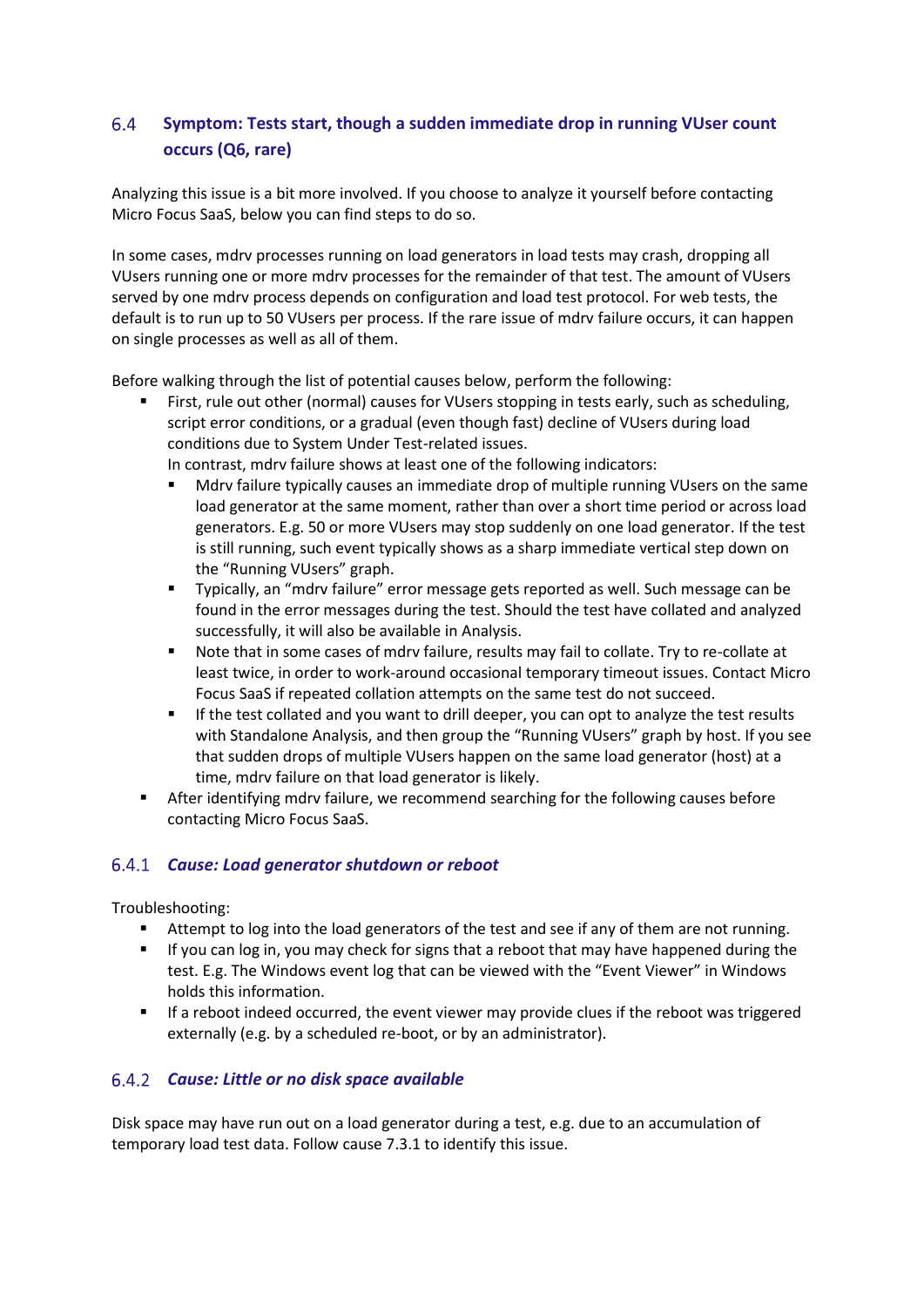#### <span id="page-23-0"></span>6.4 **Symptom: Tests start, though a sudden immediate drop in running VUser count occurs (Q6, rare)**

Analyzing this issue is a bit more involved. If you choose to analyze it yourself before contacting Micro Focus SaaS, below you can find steps to do so.

In some cases, mdrv processes running on load generators in load tests may crash, dropping all VUsers running one or more mdrv processes for the remainder of that test. The amount of VUsers served by one mdrv process depends on configuration and load test protocol. For web tests, the default is to run up to 50 VUsers per process. If the rare issue of mdrv failure occurs, it can happen on single processes as well as all of them.

Before walking through the list of potential causes below, perform the following:

- First, rule out other (normal) causes for VUsers stopping in tests early, such as scheduling, script error conditions, or a gradual (even though fast) decline of VUsers during load conditions due to System Under Test-related issues.
	- In contrast, mdrv failure shows at least one of the following indicators:
	- Mdrv failure typically causes an immediate drop of multiple running VUsers on the same load generator at the same moment, rather than over a short time period or across load generators. E.g. 50 or more VUsers may stop suddenly on one load generator. If the test is still running, such event typically shows as a sharp immediate vertical step down on the "Running VUsers" graph.
	- Typically, an "mdrv failure" error message gets reported as well. Such message can be found in the error messages during the test. Should the test have collated and analyzed successfully, it will also be available in Analysis.
	- Note that in some cases of mdrv failure, results may fail to collate. Try to re-collate at least twice, in order to work-around occasional temporary timeout issues. Contact Micro Focus SaaS if repeated collation attempts on the same test do not succeed.
	- If the test collated and you want to drill deeper, you can opt to analyze the test results with Standalone Analysis, and then group the "Running VUsers" graph by host. If you see that sudden drops of multiple VUsers happen on the same load generator (host) at a time, mdrv failure on that load generator is likely.
- After identifying mdrv failure, we recommend searching for the following causes before contacting Micro Focus SaaS.

#### *Cause: Load generator shutdown or reboot*

Troubleshooting:

- Attempt to log into the load generators of the test and see if any of them are not running.
- **■** If you can log in, you may check for signs that a reboot that may have happened during the test. E.g. The Windows event log that can be viewed with the "Event Viewer" in Windows holds this information.
- **■** If a reboot indeed occurred, the event viewer may provide clues if the reboot was triggered externally (e.g. by a scheduled re-boot, or by an administrator).

#### *Cause: Little or no disk space available*

Disk space may have run out on a load generator during a test, e.g. due to an accumulation of temporary load test data. Follow cause 7.3.1 to identify this issue.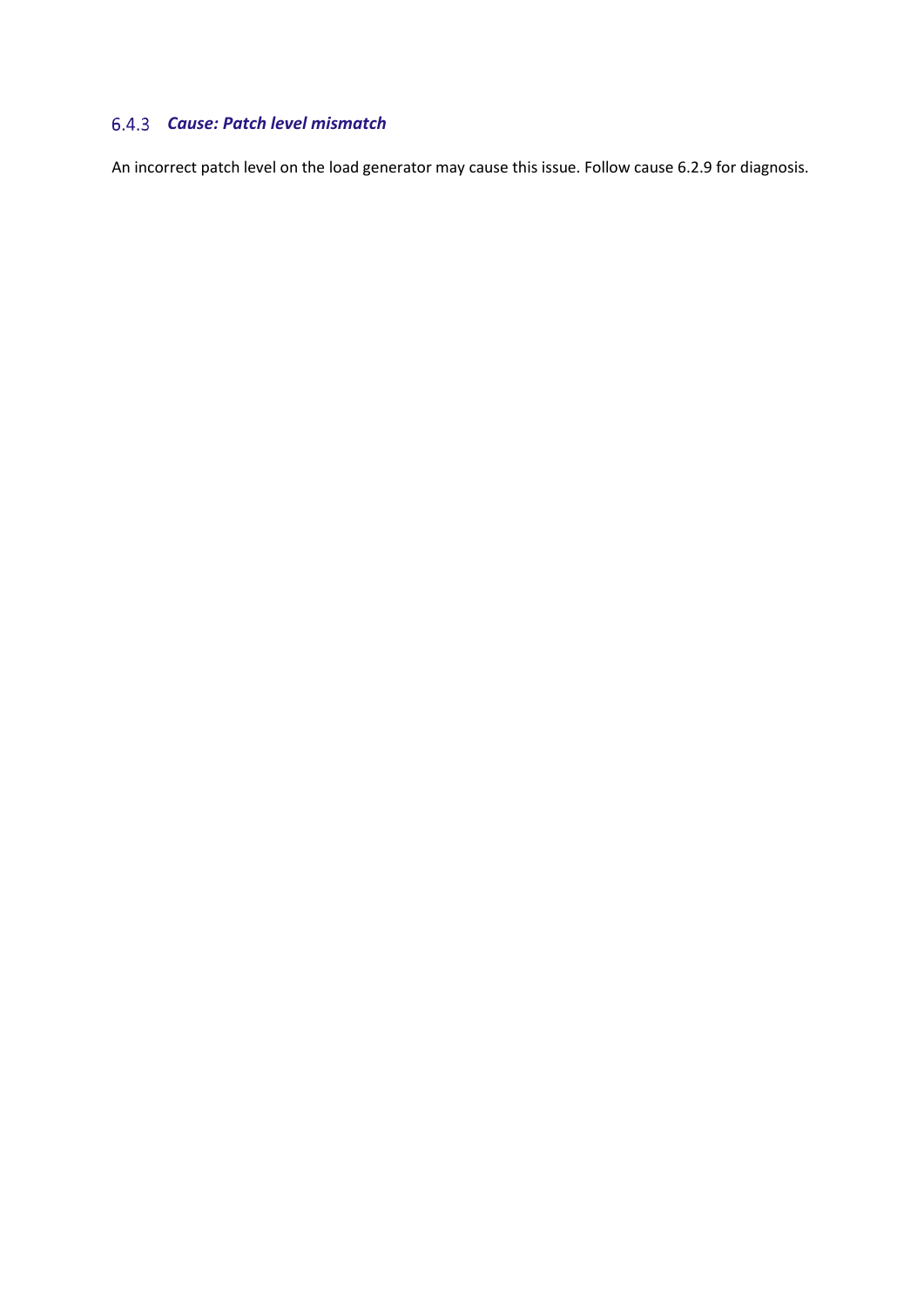# *Cause: Patch level mismatch*

An incorrect patch level on the load generator may cause this issue. Follow cause 6.2.9 for diagnosis.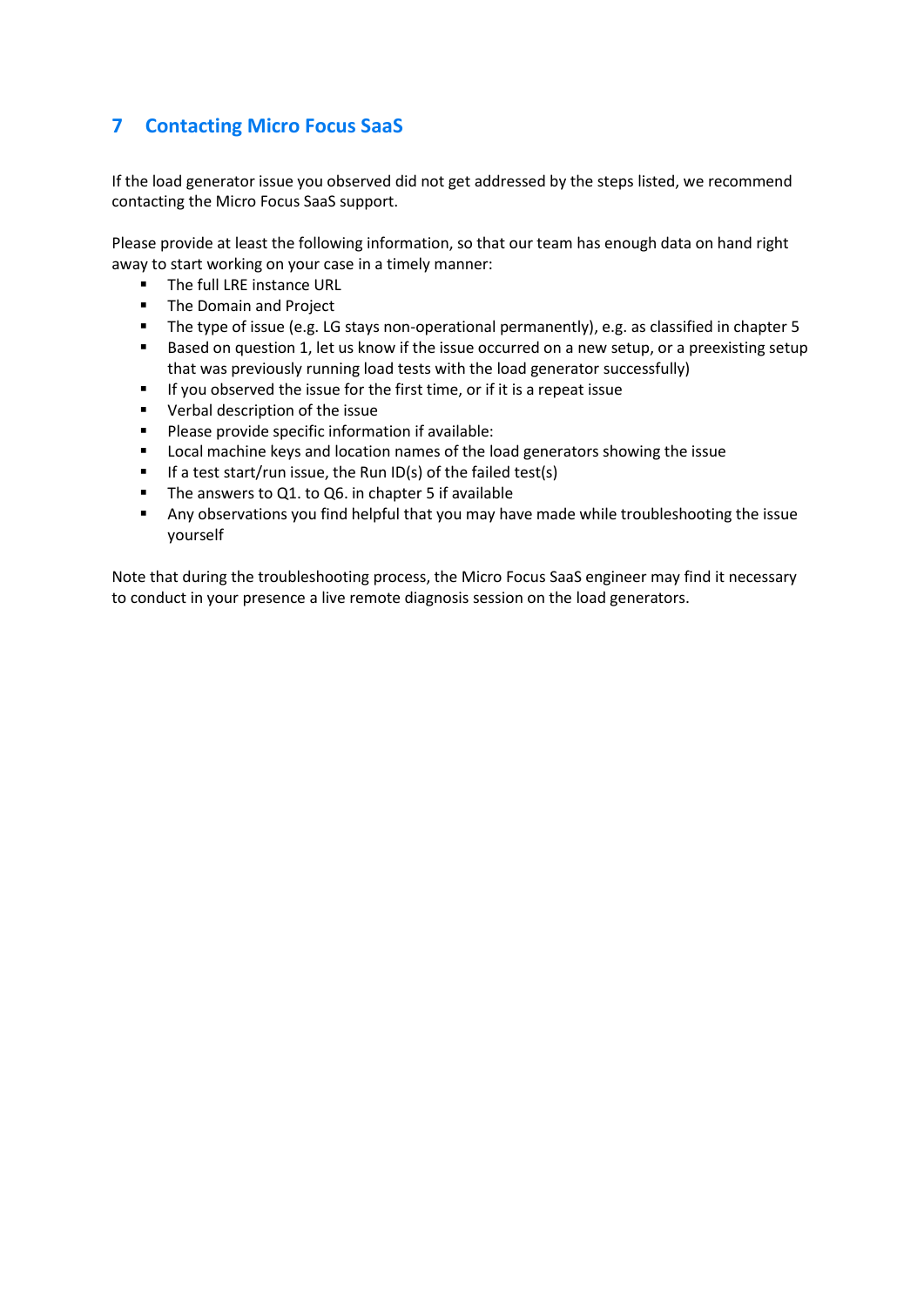# <span id="page-25-0"></span>**7 Contacting Micro Focus SaaS**

If the load generator issue you observed did not get addressed by the steps listed, we recommend contacting the Micro Focus SaaS support.

Please provide at least the following information, so that our team has enough data on hand right away to start working on your case in a timely manner:

- The full LRE instance URL
- The Domain and Project
- The type of issue (e.g. LG stays non-operational permanently), e.g. as classified in chapter 5
- Based on question 1, let us know if the issue occurred on a new setup, or a preexisting setup that was previously running load tests with the load generator successfully)
- If you observed the issue for the first time, or if it is a repeat issue
- Verbal description of the issue
- Please provide specific information if available:
- Local machine keys and location names of the load generators showing the issue
- If a test start/run issue, the Run ID(s) of the failed test(s)
- The answers to Q1. to Q6. in chapter 5 if available
- Any observations you find helpful that you may have made while troubleshooting the issue yourself

Note that during the troubleshooting process, the Micro Focus SaaS engineer may find it necessary to conduct in your presence a live remote diagnosis session on the load generators.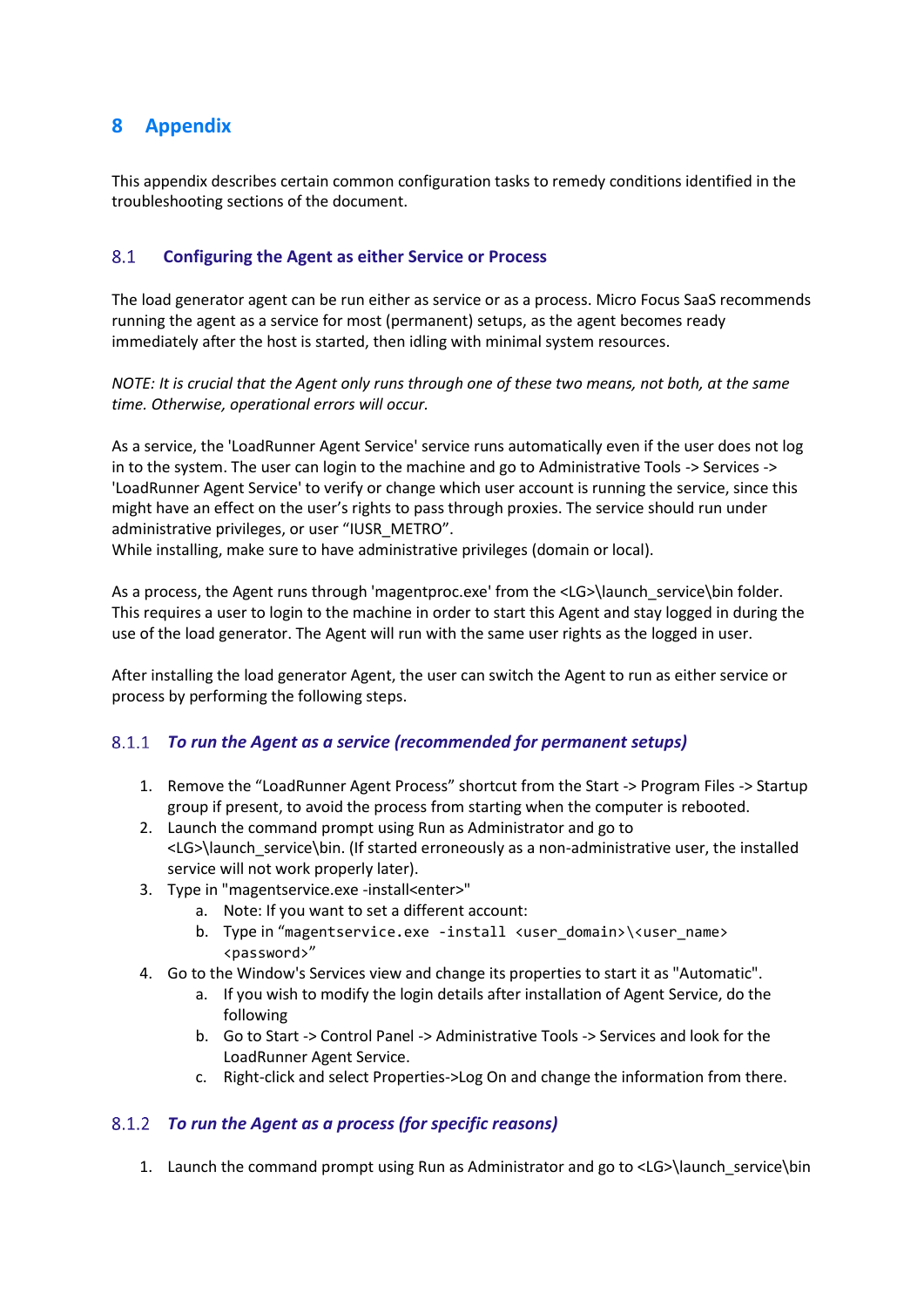# <span id="page-26-0"></span>**8 Appendix**

This appendix describes certain common configuration tasks to remedy conditions identified in the troubleshooting sections of the document.

#### <span id="page-26-1"></span> $8.1$ **Configuring the Agent as either Service or Process**

The load generator agent can be run either as service or as a process. Micro Focus SaaS recommends running the agent as a service for most (permanent) setups, as the agent becomes ready immediately after the host is started, then idling with minimal system resources.

*NOTE: It is crucial that the Agent only runs through one of these two means, not both, at the same time. Otherwise, operational errors will occur.*

As a service, the 'LoadRunner Agent Service' service runs automatically even if the user does not log in to the system. The user can login to the machine and go to Administrative Tools -> Services -> 'LoadRunner Agent Service' to verify or change which user account is running the service, since this might have an effect on the user's rights to pass through proxies. The service should run under administrative privileges, or user "IUSR\_METRO".

While installing, make sure to have administrative privileges (domain or local).

As a process, the Agent runs through 'magentproc.exe' from the <LG>\launch\_service\bin folder. This requires a user to login to the machine in order to start this Agent and stay logged in during the use of the load generator. The Agent will run with the same user rights as the logged in user.

After installing the load generator Agent, the user can switch the Agent to run as either service or process by performing the following steps.

# *To run the Agent as a service (recommended for permanent setups)*

- 1. Remove the "LoadRunner Agent Process" shortcut from the Start -> Program Files -> Startup group if present, to avoid the process from starting when the computer is rebooted.
- 2. Launch the command prompt using Run as Administrator and go to <LG>\launch\_service\bin. (If started erroneously as a non-administrative user, the installed service will not work properly later).
- 3. Type in "magentservice.exe -install<enter>"
	- a. Note: If you want to set a different account:
	- b. Type in "magentservice.exe -install <user\_domain>\<user\_name> <password>"
- 4. Go to the Window's Services view and change its properties to start it as "Automatic".
	- a. If you wish to modify the login details after installation of Agent Service, do the following
	- b. Go to Start -> Control Panel -> Administrative Tools -> Services and look for the LoadRunner Agent Service.
	- c. Right-click and select Properties->Log On and change the information from there.

#### *To run the Agent as a process (for specific reasons)*

1. Launch the command prompt using Run as Administrator and go to <LG>\launch\_service\bin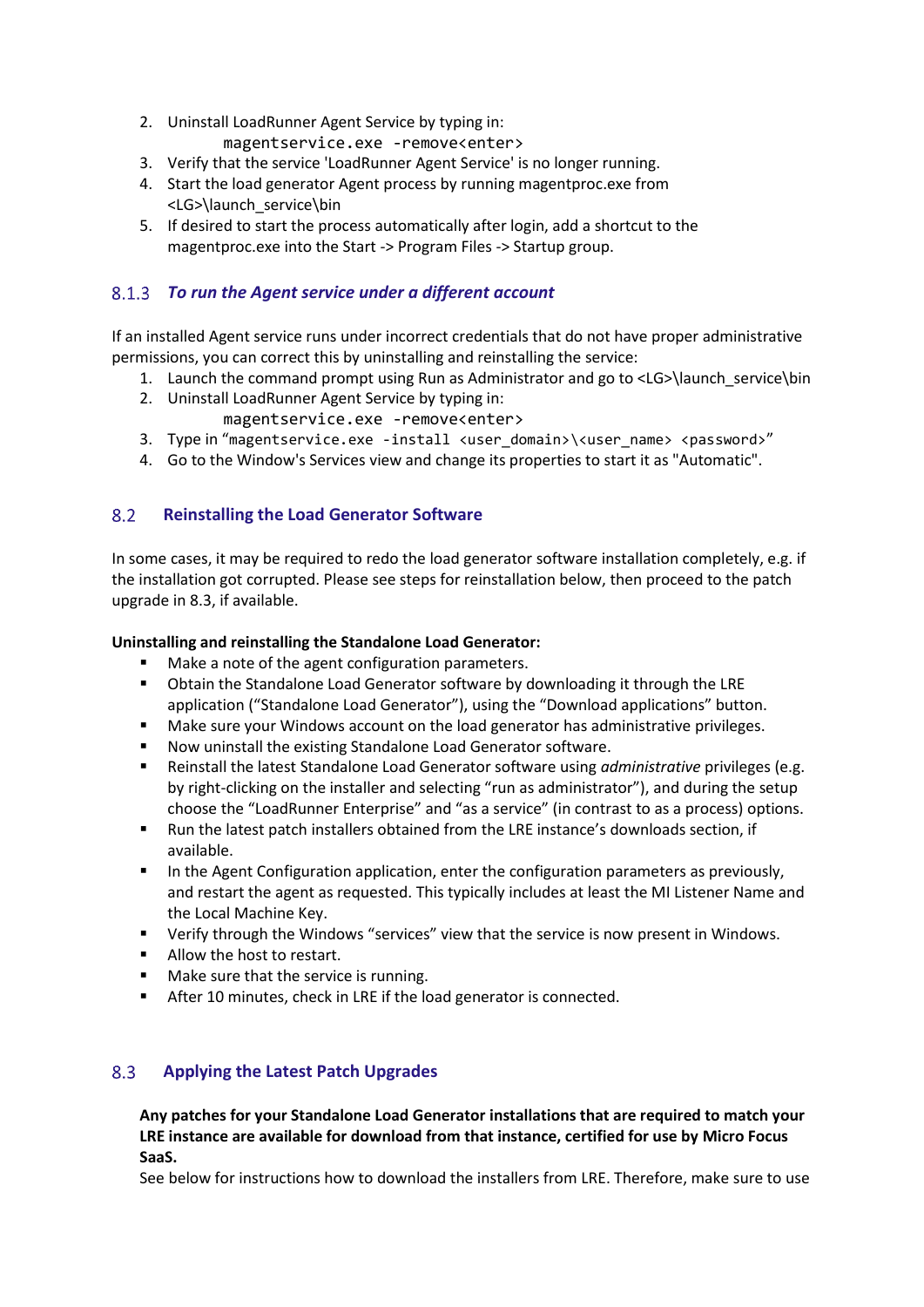- 2. Uninstall LoadRunner Agent Service by typing in: magentservice.exe -remove<enter>
- 3. Verify that the service 'LoadRunner Agent Service' is no longer running.
- 4. Start the load generator Agent process by running magentproc.exe from <LG>\launch\_service\bin
- 5. If desired to start the process automatically after login, add a shortcut to the magentproc.exe into the Start -> Program Files -> Startup group.

## *To run the Agent service under a different account*

If an installed Agent service runs under incorrect credentials that do not have proper administrative permissions, you can correct this by uninstalling and reinstalling the service:

- 1. Launch the command prompt using Run as Administrator and go to <LG>\launch\_service\bin
- 2. Uninstall LoadRunner Agent Service by typing in:
- magentservice.exe -remove<enter>
- 3. Type in "magentservice.exe -install <user\_domain>\<user\_name> <password>"
- 4. Go to the Window's Services view and change its properties to start it as "Automatic".

#### <span id="page-27-0"></span>8.2 **Reinstalling the Load Generator Software**

In some cases, it may be required to redo the load generator software installation completely, e.g. if the installation got corrupted. Please see steps for reinstallation below, then proceed to the patch upgrade in 8.3, if available.

#### **Uninstalling and reinstalling the Standalone Load Generator:**

- Make a note of the agent configuration parameters.
- Obtain the Standalone Load Generator software by downloading it through the LRE application ("Standalone Load Generator"), using the "Download applications" button.
- Make sure your Windows account on the load generator has administrative privileges.
- Now uninstall the existing Standalone Load Generator software.
- Reinstall the latest Standalone Load Generator software using *administrative* privileges (e.g. by right-clicking on the installer and selecting "run as administrator"), and during the setup choose the "LoadRunner Enterprise" and "as a service" (in contrast to as a process) options.
- Run the latest patch installers obtained from the LRE instance's downloads section, if available.
- In the Agent Configuration application, enter the configuration parameters as previously, and restart the agent as requested. This typically includes at least the MI Listener Name and the Local Machine Key.
- Verify through the Windows "services" view that the service is now present in Windows.
- Allow the host to restart.
- Make sure that the service is running.
- After 10 minutes, check in LRE if the load generator is connected.

#### <span id="page-27-1"></span> $8.3$ **Applying the Latest Patch Upgrades**

**Any patches for your Standalone Load Generator installations that are required to match your LRE instance are available for download from that instance, certified for use by Micro Focus SaaS.**

See below for instructions how to download the installers from LRE. Therefore, make sure to use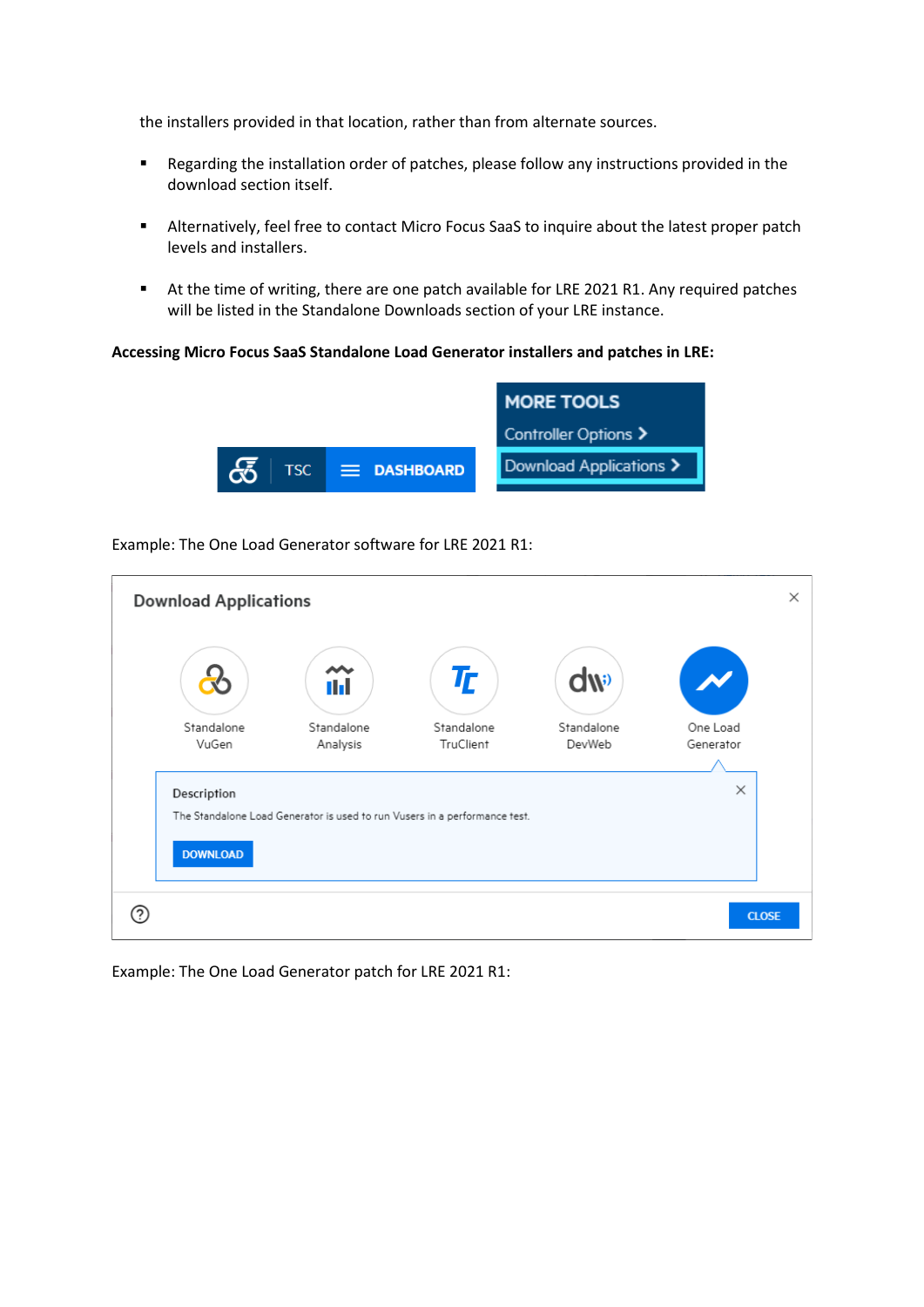the installers provided in that location, rather than from alternate sources.

- Regarding the installation order of patches, please follow any instructions provided in the download section itself.
- Alternatively, feel free to contact Micro Focus SaaS to inquire about the latest proper patch levels and installers.
- At the time of writing, there are one patch available for LRE 2021 R1. Any required patches will be listed in the Standalone Downloads section of your LRE instance.

#### **Accessing Micro Focus SaaS Standalone Load Generator installers and patches in LRE:**



Example: The One Load Generator software for LRE 2021 R1:

| <b>Download Applications</b> |                        |                                                                            |                      |                       | $\times$ |
|------------------------------|------------------------|----------------------------------------------------------------------------|----------------------|-----------------------|----------|
|                              | ı I                    | $T_{\!\! L}$                                                               | dw                   |                       |          |
| Standalone<br>VuGen          | Standalone<br>Analysis | Standalone<br>TruClient                                                    | Standalone<br>DevWeb | One Load<br>Generator |          |
|                              |                        |                                                                            |                      |                       |          |
| Description                  |                        | The Standalone Load Generator is used to run Vusers in a performance test. |                      | $\times$              |          |
| <b>DOWNLOAD</b>              |                        |                                                                            |                      |                       |          |
|                              |                        |                                                                            |                      | <b>CLOSE</b>          |          |

Example: The One Load Generator patch for LRE 2021 R1: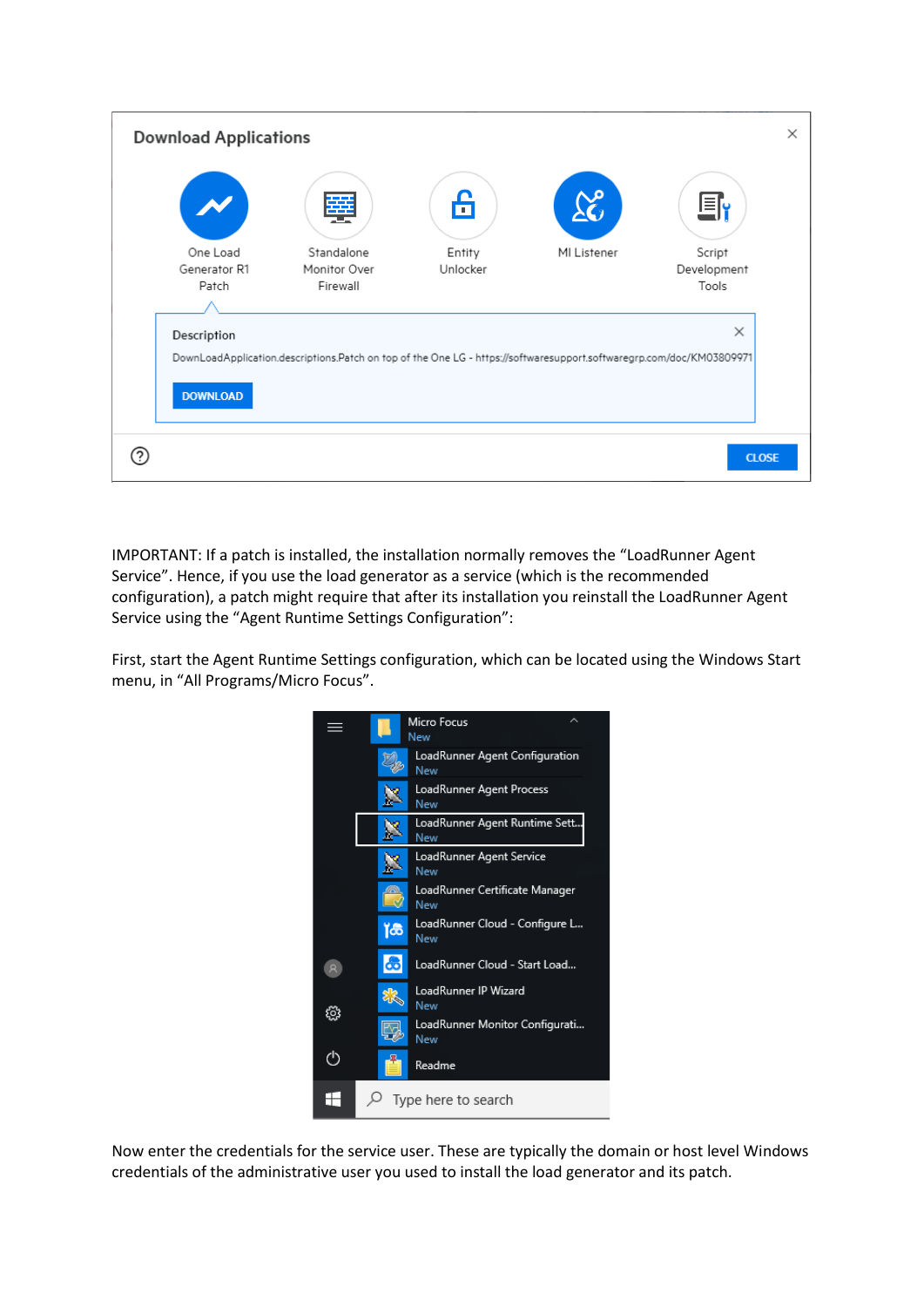

IMPORTANT: If a patch is installed, the installation normally removes the "LoadRunner Agent Service". Hence, if you use the load generator as a service (which is the recommended configuration), a patch might require that after its installation you reinstall the LoadRunner Agent Service using the "Agent Runtime Settings Configuration":

First, start the Agent Runtime Settings configuration, which can be located using the Windows Start menu, in "All Programs/Micro Focus".



Now enter the credentials for the service user. These are typically the domain or host level Windows credentials of the administrative user you used to install the load generator and its patch.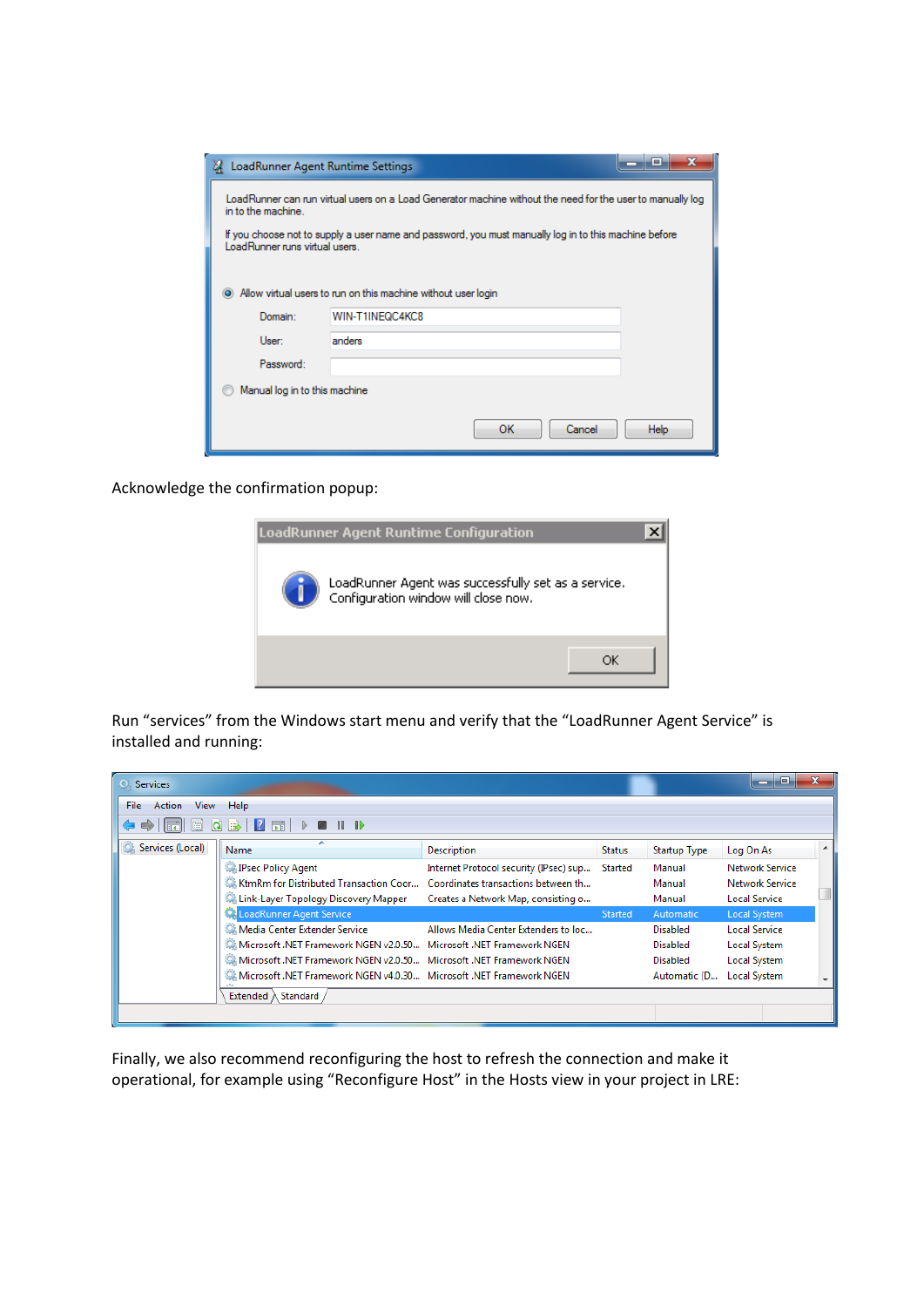| LoadRunner Agent Runtime Settings<br>м                                                                                                                                                                                                                                     |                                                                                  | $=$         |  |  |  |  |  |  |
|----------------------------------------------------------------------------------------------------------------------------------------------------------------------------------------------------------------------------------------------------------------------------|----------------------------------------------------------------------------------|-------------|--|--|--|--|--|--|
| LoadRunner can run virtual users on a Load Generator machine without the need for the user to manually log<br>in to the machine.<br>If you choose not to supply a user name and password, you must manually log in to this machine before<br>LoadRunner runs virtual users |                                                                                  |             |  |  |  |  |  |  |
| Domain:                                                                                                                                                                                                                                                                    | Allow virtual users to run on this machine without user login<br>WIN-T1INEQC4KC8 |             |  |  |  |  |  |  |
| User:                                                                                                                                                                                                                                                                      | anders                                                                           |             |  |  |  |  |  |  |
| Password:                                                                                                                                                                                                                                                                  |                                                                                  |             |  |  |  |  |  |  |
|                                                                                                                                                                                                                                                                            | Manual log in to this machine                                                    |             |  |  |  |  |  |  |
|                                                                                                                                                                                                                                                                            | Cancel<br>ок                                                                     | <b>Help</b> |  |  |  |  |  |  |

Acknowledge the confirmation popup:



Run "services" from the Windows start menu and verify that the "LoadRunner Agent Service" is installed and running:

| <b>Services</b><br>$\Omega$       |                                                                               |                                        |               |                     | $=$                    |  |  |  |  |  |
|-----------------------------------|-------------------------------------------------------------------------------|----------------------------------------|---------------|---------------------|------------------------|--|--|--|--|--|
| Action<br>File<br><b>View</b>     | Help                                                                          |                                        |               |                     |                        |  |  |  |  |  |
| <b>2 開 ▷ ■ Ⅱ ID</b><br>  最 <br>ାର |                                                                               |                                        |               |                     |                        |  |  |  |  |  |
| Services (Local)                  | ×<br>Name                                                                     | <b>Description</b>                     | <b>Status</b> | <b>Startup Type</b> | Log On As              |  |  |  |  |  |
|                                   | <b>Psec Policy Agent</b>                                                      | Internet Protocol security (IPsec) sup | Started       | Manual              | <b>Network Service</b> |  |  |  |  |  |
|                                   | E. KtmRm for Distributed Transaction Coor Coordinates transactions between th |                                        |               | Manual              | Network Service        |  |  |  |  |  |
|                                   | Link-Layer Topology Discovery Mapper                                          | Creates a Network Map, consisting o    |               | Manual              | <b>Local Service</b>   |  |  |  |  |  |
|                                   | LoadRunner Agent Service                                                      |                                        | Started       | Automatic           | Local System           |  |  |  |  |  |
|                                   | Media Center Extender Service                                                 | Allows Media Center Extenders to loc   |               | <b>Disabled</b>     | <b>Local Service</b>   |  |  |  |  |  |
|                                   | Microsoft .NET Framework NGEN v2.0.50 Microsoft .NET Framework NGEN           |                                        |               | <b>Disabled</b>     | <b>Local System</b>    |  |  |  |  |  |
|                                   | Microsoft .NET Framework NGEN v2.0.50 Microsoft .NET Framework NGEN           |                                        |               | <b>Disabled</b>     | Local System           |  |  |  |  |  |
|                                   | Microsoft .NET Framework NGEN v4.0.30 Microsoft .NET Framework NGEN           |                                        |               | Automatic (D        | Local System           |  |  |  |  |  |
|                                   | Extended $\lambda$ Standard                                                   |                                        |               |                     |                        |  |  |  |  |  |
|                                   |                                                                               |                                        |               |                     |                        |  |  |  |  |  |

Finally, we also recommend reconfiguring the host to refresh the connection and make it operational, for example using "Reconfigure Host" in the Hosts view in your project in LRE: